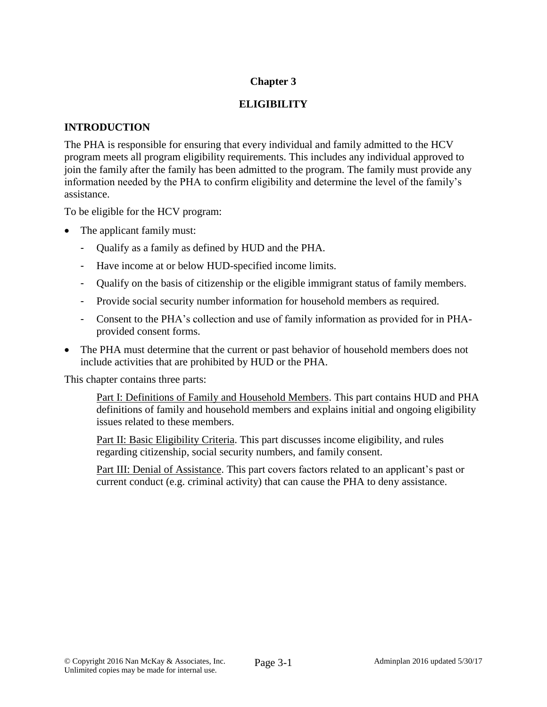# **Chapter 3**

# **ELIGIBILITY**

## **INTRODUCTION**

The PHA is responsible for ensuring that every individual and family admitted to the HCV program meets all program eligibility requirements. This includes any individual approved to join the family after the family has been admitted to the program. The family must provide any information needed by the PHA to confirm eligibility and determine the level of the family's assistance.

To be eligible for the HCV program:

- The applicant family must:
	- Qualify as a family as defined by HUD and the PHA.
	- Have income at or below HUD-specified income limits.
	- Qualify on the basis of citizenship or the eligible immigrant status of family members.
	- Provide social security number information for household members as required.
	- Consent to the PHA's collection and use of family information as provided for in PHAprovided consent forms.
- The PHA must determine that the current or past behavior of household members does not include activities that are prohibited by HUD or the PHA.

This chapter contains three parts:

Part I: Definitions of Family and Household Members. This part contains HUD and PHA definitions of family and household members and explains initial and ongoing eligibility issues related to these members.

Part II: Basic Eligibility Criteria. This part discusses income eligibility, and rules regarding citizenship, social security numbers, and family consent.

Part III: Denial of Assistance. This part covers factors related to an applicant's past or current conduct (e.g. criminal activity) that can cause the PHA to deny assistance.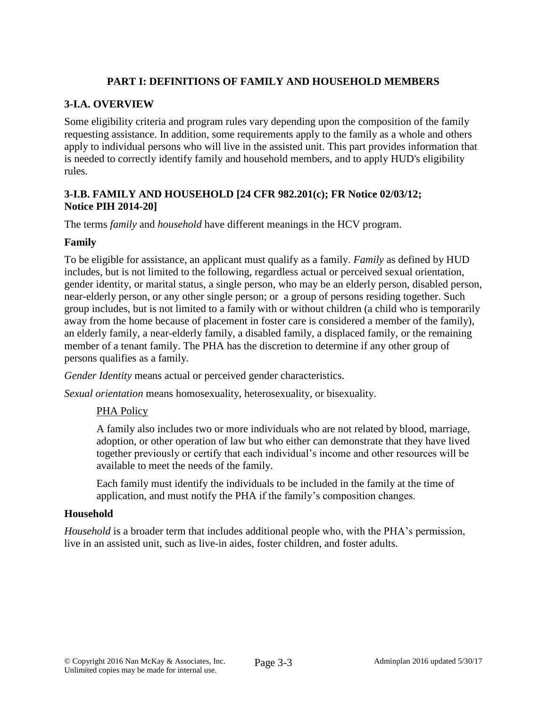# **PART I: DEFINITIONS OF FAMILY AND HOUSEHOLD MEMBERS**

# **3-I.A. OVERVIEW**

Some eligibility criteria and program rules vary depending upon the composition of the family requesting assistance. In addition, some requirements apply to the family as a whole and others apply to individual persons who will live in the assisted unit. This part provides information that is needed to correctly identify family and household members, and to apply HUD's eligibility rules.

## **3-I.B. FAMILY AND HOUSEHOLD [24 CFR 982.201(c); FR Notice 02/03/12; Notice PIH 2014-20]**

The terms *family* and *household* have different meanings in the HCV program.

## **Family**

To be eligible for assistance, an applicant must qualify as a family. *Family* as defined by HUD includes, but is not limited to the following, regardless actual or perceived sexual orientation, gender identity, or marital status, a single person, who may be an elderly person, disabled person, near-elderly person, or any other single person; or a group of persons residing together. Such group includes, but is not limited to a family with or without children (a child who is temporarily away from the home because of placement in foster care is considered a member of the family), an elderly family, a near-elderly family, a disabled family, a displaced family, or the remaining member of a tenant family. The PHA has the discretion to determine if any other group of persons qualifies as a family.

*Gender Identity* means actual or perceived gender characteristics.

*Sexual orientation* means homosexuality, heterosexuality, or bisexuality.

## PHA Policy

A family also includes two or more individuals who are not related by blood, marriage, adoption, or other operation of law but who either can demonstrate that they have lived together previously or certify that each individual's income and other resources will be available to meet the needs of the family.

Each family must identify the individuals to be included in the family at the time of application, and must notify the PHA if the family's composition changes.

## **Household**

*Household* is a broader term that includes additional people who, with the PHA's permission, live in an assisted unit, such as live-in aides, foster children, and foster adults.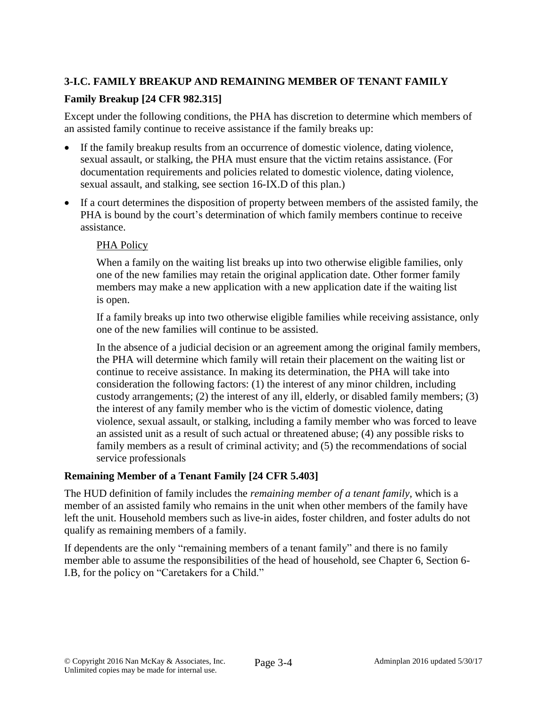# **3-I.C. FAMILY BREAKUP AND REMAINING MEMBER OF TENANT FAMILY**

# **Family Breakup [24 CFR 982.315]**

Except under the following conditions, the PHA has discretion to determine which members of an assisted family continue to receive assistance if the family breaks up:

- If the family breakup results from an occurrence of domestic violence, dating violence, sexual assault, or stalking, the PHA must ensure that the victim retains assistance. (For documentation requirements and policies related to domestic violence, dating violence, sexual assault, and stalking, see section 16-IX.D of this plan.)
- If a court determines the disposition of property between members of the assisted family, the PHA is bound by the court's determination of which family members continue to receive assistance.

# PHA Policy

When a family on the waiting list breaks up into two otherwise eligible families, only one of the new families may retain the original application date. Other former family members may make a new application with a new application date if the waiting list is open.

If a family breaks up into two otherwise eligible families while receiving assistance, only one of the new families will continue to be assisted.

In the absence of a judicial decision or an agreement among the original family members, the PHA will determine which family will retain their placement on the waiting list or continue to receive assistance. In making its determination, the PHA will take into consideration the following factors: (1) the interest of any minor children, including custody arrangements; (2) the interest of any ill, elderly, or disabled family members; (3) the interest of any family member who is the victim of domestic violence, dating violence, sexual assault, or stalking, including a family member who was forced to leave an assisted unit as a result of such actual or threatened abuse; (4) any possible risks to family members as a result of criminal activity; and (5) the recommendations of social service professionals

# **Remaining Member of a Tenant Family [24 CFR 5.403]**

The HUD definition of family includes the *remaining member of a tenant family,* which is a member of an assisted family who remains in the unit when other members of the family have left the unit. Household members such as live-in aides, foster children, and foster adults do not qualify as remaining members of a family.

If dependents are the only "remaining members of a tenant family" and there is no family member able to assume the responsibilities of the head of household, see Chapter 6, Section 6- I.B, for the policy on "Caretakers for a Child."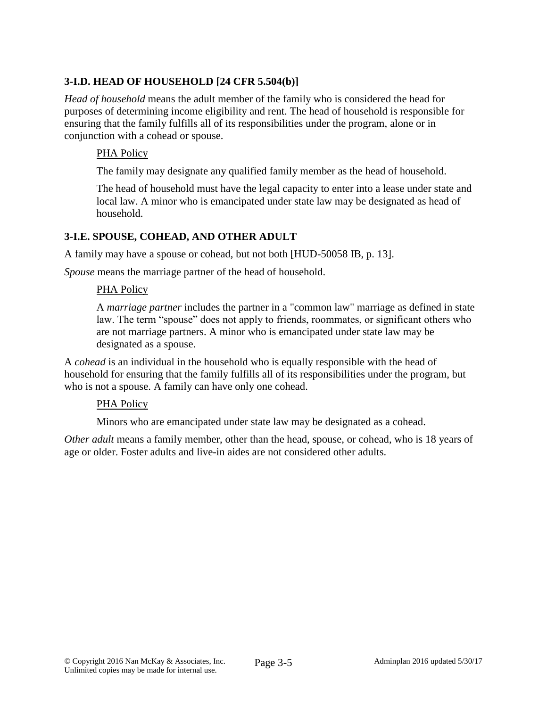# **3-I.D. HEAD OF HOUSEHOLD [24 CFR 5.504(b)]**

*Head of household* means the adult member of the family who is considered the head for purposes of determining income eligibility and rent. The head of household is responsible for ensuring that the family fulfills all of its responsibilities under the program, alone or in conjunction with a cohead or spouse.

# PHA Policy

The family may designate any qualified family member as the head of household.

The head of household must have the legal capacity to enter into a lease under state and local law. A minor who is emancipated under state law may be designated as head of household.

# **3-I.E. SPOUSE, COHEAD, AND OTHER ADULT**

A family may have a spouse or cohead, but not both [HUD-50058 IB, p. 13].

*Spouse* means the marriage partner of the head of household.

## PHA Policy

A *marriage partner* includes the partner in a "common law" marriage as defined in state law. The term "spouse" does not apply to friends, roommates, or significant others who are not marriage partners. A minor who is emancipated under state law may be designated as a spouse.

A *cohead* is an individual in the household who is equally responsible with the head of household for ensuring that the family fulfills all of its responsibilities under the program, but who is not a spouse. A family can have only one cohead.

## PHA Policy

Minors who are emancipated under state law may be designated as a cohead.

*Other adult* means a family member, other than the head, spouse, or cohead, who is 18 years of age or older. Foster adults and live-in aides are not considered other adults.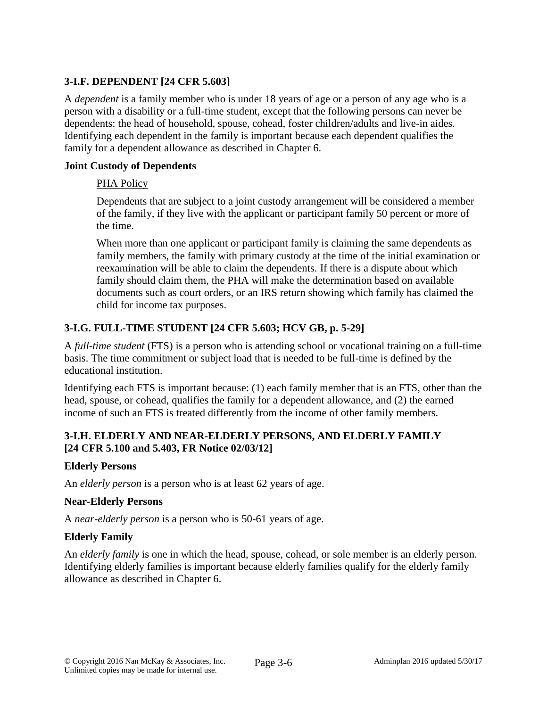# **3-I.F. DEPENDENT [24 CFR 5.603]**

A *dependent* is a family member who is under 18 years of age or a person of any age who is a person with a disability or a full-time student, except that the following persons can never be dependents: the head of household, spouse, cohead, foster children/adults and live-in aides*.*  Identifying each dependent in the family is important because each dependent qualifies the family for a dependent allowance as described in Chapter 6.

### **Joint Custody of Dependents**

### PHA Policy

Dependents that are subject to a joint custody arrangement will be considered a member of the family, if they live with the applicant or participant family 50 percent or more of the time.

When more than one applicant or participant family is claiming the same dependents as family members, the family with primary custody at the time of the initial examination or reexamination will be able to claim the dependents. If there is a dispute about which family should claim them, the PHA will make the determination based on available documents such as court orders, or an IRS return showing which family has claimed the child for income tax purposes.

# **3-I.G. FULL-TIME STUDENT [24 CFR 5.603; HCV GB, p. 5-29]**

A *full-time student* (FTS) is a person who is attending school or vocational training on a full-time basis. The time commitment or subject load that is needed to be full-time is defined by the educational institution.

Identifying each FTS is important because: (1) each family member that is an FTS, other than the head, spouse, or cohead, qualifies the family for a dependent allowance, and (2) the earned income of such an FTS is treated differently from the income of other family members.

# **3-I.H. ELDERLY AND NEAR-ELDERLY PERSONS, AND ELDERLY FAMILY [24 CFR 5.100 and 5.403, FR Notice 02/03/12]**

## **Elderly Persons**

An *elderly person* is a person who is at least 62 years of age.

### **Near-Elderly Persons**

A *near-elderly person* is a person who is 50-61 years of age.

## **Elderly Family**

An *elderly family* is one in which the head, spouse, cohead, or sole member is an elderly person. Identifying elderly families is important because elderly families qualify for the elderly family allowance as described in Chapter 6.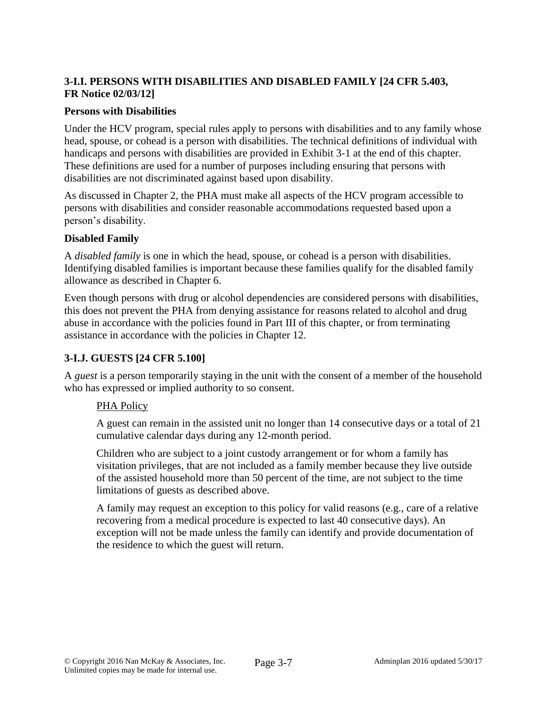# **3-I.I. PERSONS WITH DISABILITIES AND DISABLED FAMILY [24 CFR 5.403, FR Notice 02/03/12]**

### **Persons with Disabilities**

Under the HCV program, special rules apply to persons with disabilities and to any family whose head, spouse, or cohead is a person with disabilities. The technical definitions of individual with handicaps and persons with disabilities are provided in Exhibit 3-1 at the end of this chapter. These definitions are used for a number of purposes including ensuring that persons with disabilities are not discriminated against based upon disability.

As discussed in Chapter 2, the PHA must make all aspects of the HCV program accessible to persons with disabilities and consider reasonable accommodations requested based upon a person's disability.

### **Disabled Family**

A *disabled family* is one in which the head, spouse, or cohead is a person with disabilities. Identifying disabled families is important because these families qualify for the disabled family allowance as described in Chapter 6.

Even though persons with drug or alcohol dependencies are considered persons with disabilities, this does not prevent the PHA from denying assistance for reasons related to alcohol and drug abuse in accordance with the policies found in Part III of this chapter, or from terminating assistance in accordance with the policies in Chapter 12.

## **3-I.J. GUESTS [24 CFR 5.100]**

A *guest* is a person temporarily staying in the unit with the consent of a member of the household who has expressed or implied authority to so consent.

### PHA Policy

A guest can remain in the assisted unit no longer than 14 consecutive days or a total of 21 cumulative calendar days during any 12-month period.

Children who are subject to a joint custody arrangement or for whom a family has visitation privileges, that are not included as a family member because they live outside of the assisted household more than 50 percent of the time, are not subject to the time limitations of guests as described above.

A family may request an exception to this policy for valid reasons (e.g., care of a relative recovering from a medical procedure is expected to last 40 consecutive days). An exception will not be made unless the family can identify and provide documentation of the residence to which the guest will return.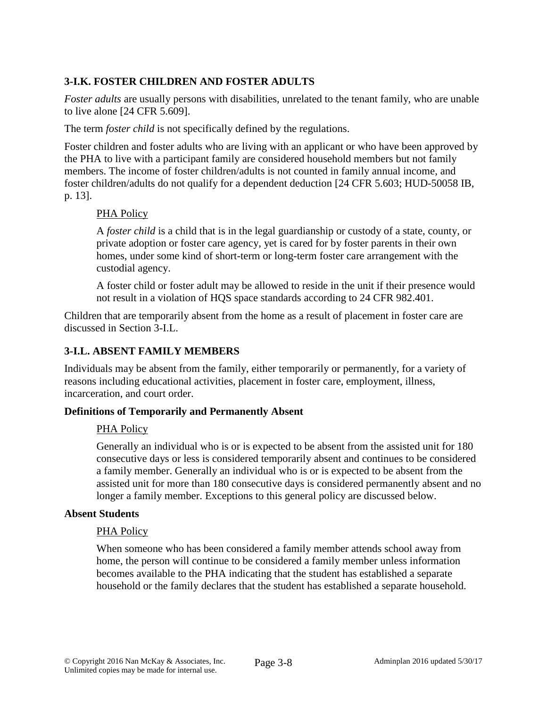# **3-I.K. FOSTER CHILDREN AND FOSTER ADULTS**

*Foster adults* are usually persons with disabilities, unrelated to the tenant family, who are unable to live alone [24 CFR 5.609].

The term *foster child* is not specifically defined by the regulations.

Foster children and foster adults who are living with an applicant or who have been approved by the PHA to live with a participant family are considered household members but not family members. The income of foster children/adults is not counted in family annual income, and foster children/adults do not qualify for a dependent deduction [24 CFR 5.603; HUD-50058 IB, p. 13].

### PHA Policy

A *foster child* is a child that is in the legal guardianship or custody of a state, county, or private adoption or foster care agency, yet is cared for by foster parents in their own homes, under some kind of short-term or long-term foster care arrangement with the custodial agency.

A foster child or foster adult may be allowed to reside in the unit if their presence would not result in a violation of HQS space standards according to 24 CFR 982.401.

Children that are temporarily absent from the home as a result of placement in foster care are discussed in Section 3-I.L.

## **3-I.L. ABSENT FAMILY MEMBERS**

Individuals may be absent from the family, either temporarily or permanently, for a variety of reasons including educational activities, placement in foster care, employment, illness, incarceration, and court order.

### **Definitions of Temporarily and Permanently Absent**

## PHA Policy

Generally an individual who is or is expected to be absent from the assisted unit for 180 consecutive days or less is considered temporarily absent and continues to be considered a family member. Generally an individual who is or is expected to be absent from the assisted unit for more than 180 consecutive days is considered permanently absent and no longer a family member. Exceptions to this general policy are discussed below.

### **Absent Students**

### PHA Policy

When someone who has been considered a family member attends school away from home, the person will continue to be considered a family member unless information becomes available to the PHA indicating that the student has established a separate household or the family declares that the student has established a separate household.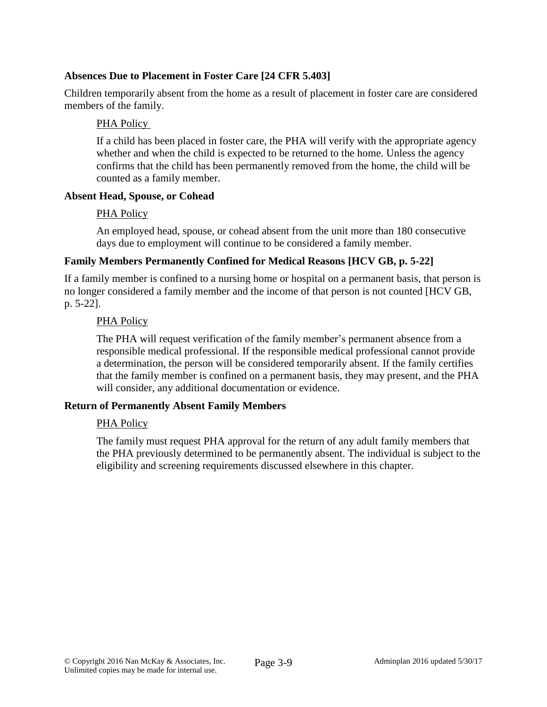# **Absences Due to Placement in Foster Care [24 CFR 5.403]**

Children temporarily absent from the home as a result of placement in foster care are considered members of the family.

### PHA Policy

If a child has been placed in foster care, the PHA will verify with the appropriate agency whether and when the child is expected to be returned to the home. Unless the agency confirms that the child has been permanently removed from the home, the child will be counted as a family member.

### **Absent Head, Spouse, or Cohead**

### PHA Policy

An employed head, spouse, or cohead absent from the unit more than 180 consecutive days due to employment will continue to be considered a family member.

## **Family Members Permanently Confined for Medical Reasons [HCV GB, p. 5-22]**

If a family member is confined to a nursing home or hospital on a permanent basis, that person is no longer considered a family member and the income of that person is not counted [HCV GB, p. 5-22].

### PHA Policy

The PHA will request verification of the family member's permanent absence from a responsible medical professional. If the responsible medical professional cannot provide a determination, the person will be considered temporarily absent. If the family certifies that the family member is confined on a permanent basis, they may present, and the PHA will consider, any additional documentation or evidence.

### **Return of Permanently Absent Family Members**

### PHA Policy

The family must request PHA approval for the return of any adult family members that the PHA previously determined to be permanently absent. The individual is subject to the eligibility and screening requirements discussed elsewhere in this chapter.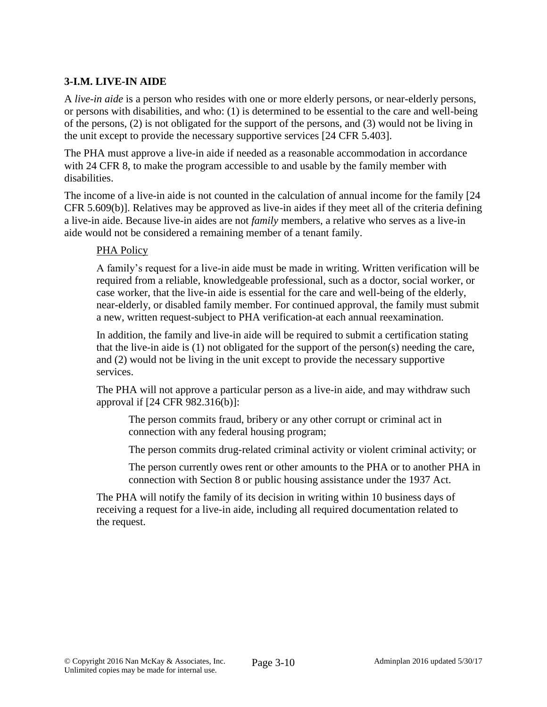# **3-I.M. LIVE-IN AIDE**

A *live-in aide* is a person who resides with one or more elderly persons, or near-elderly persons, or persons with disabilities, and who: (1) is determined to be essential to the care and well-being of the persons, (2) is not obligated for the support of the persons, and (3) would not be living in the unit except to provide the necessary supportive services [24 CFR 5.403].

The PHA must approve a live-in aide if needed as a reasonable accommodation in accordance with 24 CFR 8, to make the program accessible to and usable by the family member with disabilities.

The income of a live-in aide is not counted in the calculation of annual income for the family [24 CFR 5.609(b)]. Relatives may be approved as live-in aides if they meet all of the criteria defining a live-in aide. Because live-in aides are not *family* members, a relative who serves as a live-in aide would not be considered a remaining member of a tenant family.

### PHA Policy

A family's request for a live-in aide must be made in writing. Written verification will be required from a reliable, knowledgeable professional, such as a doctor, social worker, or case worker, that the live-in aide is essential for the care and well-being of the elderly, near-elderly, or disabled family member. For continued approval, the family must submit a new, written request-subject to PHA verification-at each annual reexamination.

In addition, the family and live-in aide will be required to submit a certification stating that the live-in aide is (1) not obligated for the support of the person(s) needing the care, and (2) would not be living in the unit except to provide the necessary supportive services.

The PHA will not approve a particular person as a live-in aide, and may withdraw such approval if [24 CFR 982.316(b)]:

The person commits fraud, bribery or any other corrupt or criminal act in connection with any federal housing program;

The person commits drug-related criminal activity or violent criminal activity; or

The person currently owes rent or other amounts to the PHA or to another PHA in connection with Section 8 or public housing assistance under the 1937 Act.

The PHA will notify the family of its decision in writing within 10 business days of receiving a request for a live-in aide, including all required documentation related to the request.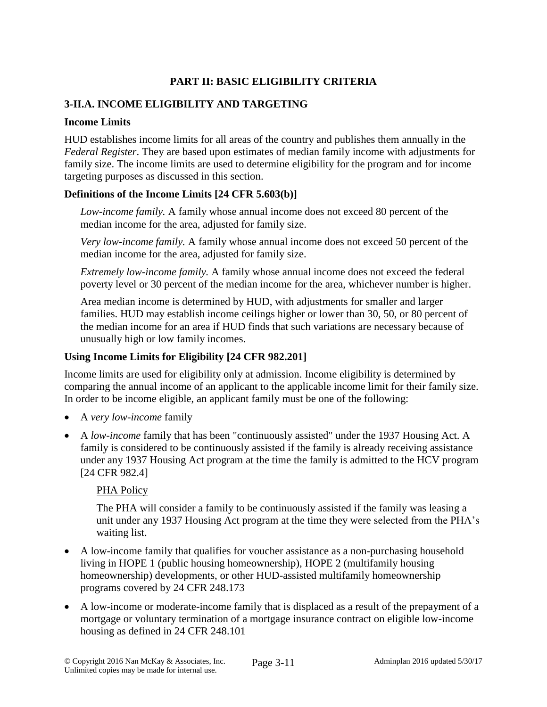# **PART II: BASIC ELIGIBILITY CRITERIA**

# **3-II.A. INCOME ELIGIBILITY AND TARGETING**

### **Income Limits**

HUD establishes income limits for all areas of the country and publishes them annually in the *Federal Register*. They are based upon estimates of median family income with adjustments for family size. The income limits are used to determine eligibility for the program and for income targeting purposes as discussed in this section.

### **Definitions of the Income Limits [24 CFR 5.603(b)]**

*Low-income family.* A family whose annual income does not exceed 80 percent of the median income for the area, adjusted for family size.

*Very low-income family.* A family whose annual income does not exceed 50 percent of the median income for the area, adjusted for family size.

*Extremely low-income family.* A family whose annual income does not exceed the federal poverty level or 30 percent of the median income for the area, whichever number is higher.

Area median income is determined by HUD, with adjustments for smaller and larger families. HUD may establish income ceilings higher or lower than 30, 50, or 80 percent of the median income for an area if HUD finds that such variations are necessary because of unusually high or low family incomes.

## **Using Income Limits for Eligibility [24 CFR 982.201]**

Income limits are used for eligibility only at admission. Income eligibility is determined by comparing the annual income of an applicant to the applicable income limit for their family size. In order to be income eligible, an applicant family must be one of the following:

- A *very low-income* family
- A *low-income* family that has been "continuously assisted" under the 1937 Housing Act. A family is considered to be continuously assisted if the family is already receiving assistance under any 1937 Housing Act program at the time the family is admitted to the HCV program [24 CFR 982.4]

## PHA Policy

The PHA will consider a family to be continuously assisted if the family was leasing a unit under any 1937 Housing Act program at the time they were selected from the PHA's waiting list.

- A low-income family that qualifies for voucher assistance as a non-purchasing household living in HOPE 1 (public housing homeownership), HOPE 2 (multifamily housing homeownership) developments, or other HUD-assisted multifamily homeownership programs covered by 24 CFR 248.173
- A low-income or moderate-income family that is displaced as a result of the prepayment of a mortgage or voluntary termination of a mortgage insurance contract on eligible low-income housing as defined in 24 CFR 248.101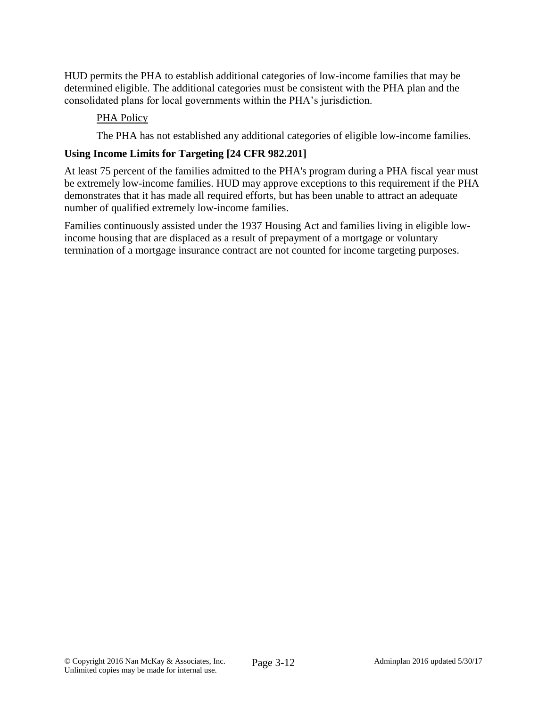HUD permits the PHA to establish additional categories of low-income families that may be determined eligible. The additional categories must be consistent with the PHA plan and the consolidated plans for local governments within the PHA's jurisdiction.

## PHA Policy

The PHA has not established any additional categories of eligible low-income families.

### **Using Income Limits for Targeting [24 CFR 982.201]**

At least 75 percent of the families admitted to the PHA's program during a PHA fiscal year must be extremely low-income families. HUD may approve exceptions to this requirement if the PHA demonstrates that it has made all required efforts, but has been unable to attract an adequate number of qualified extremely low-income families.

Families continuously assisted under the 1937 Housing Act and families living in eligible lowincome housing that are displaced as a result of prepayment of a mortgage or voluntary termination of a mortgage insurance contract are not counted for income targeting purposes.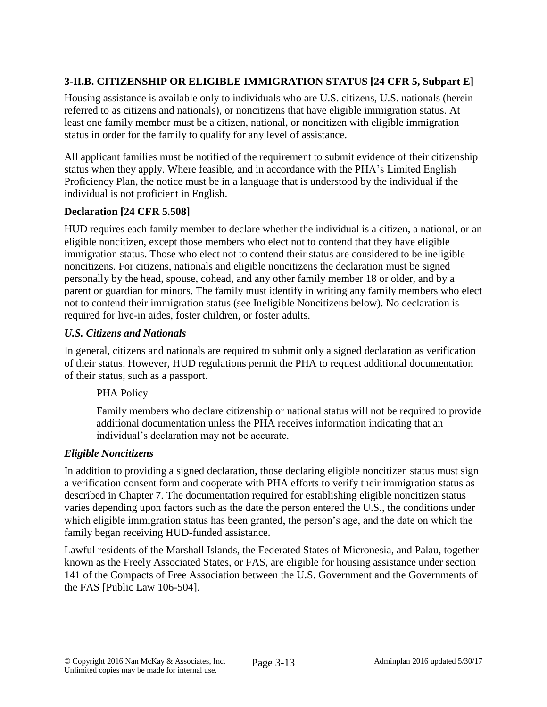# **3-II.B. CITIZENSHIP OR ELIGIBLE IMMIGRATION STATUS [24 CFR 5, Subpart E]**

Housing assistance is available only to individuals who are U.S. citizens, U.S. nationals (herein referred to as citizens and nationals), or noncitizens that have eligible immigration status. At least one family member must be a citizen, national, or noncitizen with eligible immigration status in order for the family to qualify for any level of assistance.

All applicant families must be notified of the requirement to submit evidence of their citizenship status when they apply. Where feasible, and in accordance with the PHA's Limited English Proficiency Plan, the notice must be in a language that is understood by the individual if the individual is not proficient in English.

# **Declaration [24 CFR 5.508]**

HUD requires each family member to declare whether the individual is a citizen, a national, or an eligible noncitizen, except those members who elect not to contend that they have eligible immigration status. Those who elect not to contend their status are considered to be ineligible noncitizens. For citizens, nationals and eligible noncitizens the declaration must be signed personally by the head, spouse, cohead, and any other family member 18 or older, and by a parent or guardian for minors. The family must identify in writing any family members who elect not to contend their immigration status (see Ineligible Noncitizens below). No declaration is required for live-in aides, foster children, or foster adults.

### *U.S. Citizens and Nationals*

In general, citizens and nationals are required to submit only a signed declaration as verification of their status. However, HUD regulations permit the PHA to request additional documentation of their status, such as a passport.

## PHA Policy

Family members who declare citizenship or national status will not be required to provide additional documentation unless the PHA receives information indicating that an individual's declaration may not be accurate.

## *Eligible Noncitizens*

In addition to providing a signed declaration, those declaring eligible noncitizen status must sign a verification consent form and cooperate with PHA efforts to verify their immigration status as described in Chapter 7. The documentation required for establishing eligible noncitizen status varies depending upon factors such as the date the person entered the U.S., the conditions under which eligible immigration status has been granted, the person's age, and the date on which the family began receiving HUD-funded assistance.

Lawful residents of the Marshall Islands, the Federated States of Micronesia, and Palau, together known as the Freely Associated States, or FAS, are eligible for housing assistance under section 141 of the Compacts of Free Association between the U.S. Government and the Governments of the FAS [Public Law 106-504].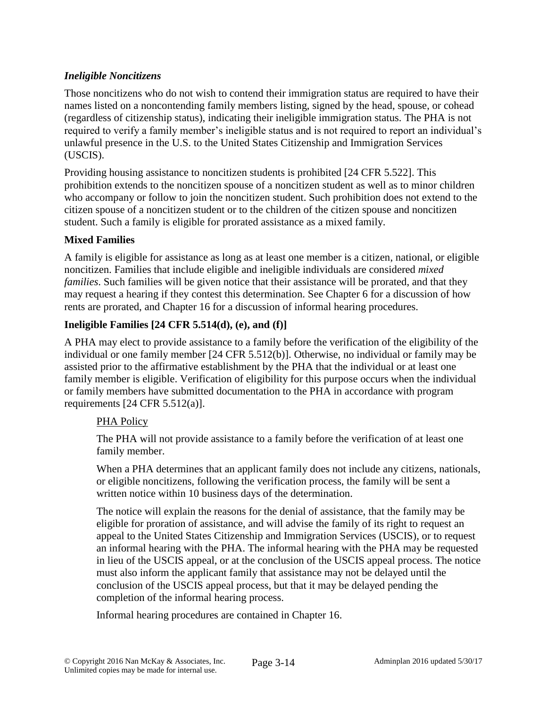# *Ineligible Noncitizens*

Those noncitizens who do not wish to contend their immigration status are required to have their names listed on a noncontending family members listing, signed by the head, spouse, or cohead (regardless of citizenship status), indicating their ineligible immigration status. The PHA is not required to verify a family member's ineligible status and is not required to report an individual's unlawful presence in the U.S. to the United States Citizenship and Immigration Services (USCIS).

Providing housing assistance to noncitizen students is prohibited [24 CFR 5.522]. This prohibition extends to the noncitizen spouse of a noncitizen student as well as to minor children who accompany or follow to join the noncitizen student. Such prohibition does not extend to the citizen spouse of a noncitizen student or to the children of the citizen spouse and noncitizen student. Such a family is eligible for prorated assistance as a mixed family.

# **Mixed Families**

A family is eligible for assistance as long as at least one member is a citizen, national, or eligible noncitizen. Families that include eligible and ineligible individuals are considered *mixed families*. Such families will be given notice that their assistance will be prorated, and that they may request a hearing if they contest this determination. See Chapter 6 for a discussion of how rents are prorated, and Chapter 16 for a discussion of informal hearing procedures.

# **Ineligible Families [24 CFR 5.514(d), (e), and (f)]**

A PHA may elect to provide assistance to a family before the verification of the eligibility of the individual or one family member [24 CFR 5.512(b)]. Otherwise, no individual or family may be assisted prior to the affirmative establishment by the PHA that the individual or at least one family member is eligible. Verification of eligibility for this purpose occurs when the individual or family members have submitted documentation to the PHA in accordance with program requirements [24 CFR 5.512(a)].

## PHA Policy

The PHA will not provide assistance to a family before the verification of at least one family member.

When a PHA determines that an applicant family does not include any citizens, nationals, or eligible noncitizens, following the verification process, the family will be sent a written notice within 10 business days of the determination.

The notice will explain the reasons for the denial of assistance, that the family may be eligible for proration of assistance, and will advise the family of its right to request an appeal to the United States Citizenship and Immigration Services (USCIS), or to request an informal hearing with the PHA. The informal hearing with the PHA may be requested in lieu of the USCIS appeal, or at the conclusion of the USCIS appeal process. The notice must also inform the applicant family that assistance may not be delayed until the conclusion of the USCIS appeal process, but that it may be delayed pending the completion of the informal hearing process.

Informal hearing procedures are contained in Chapter 16.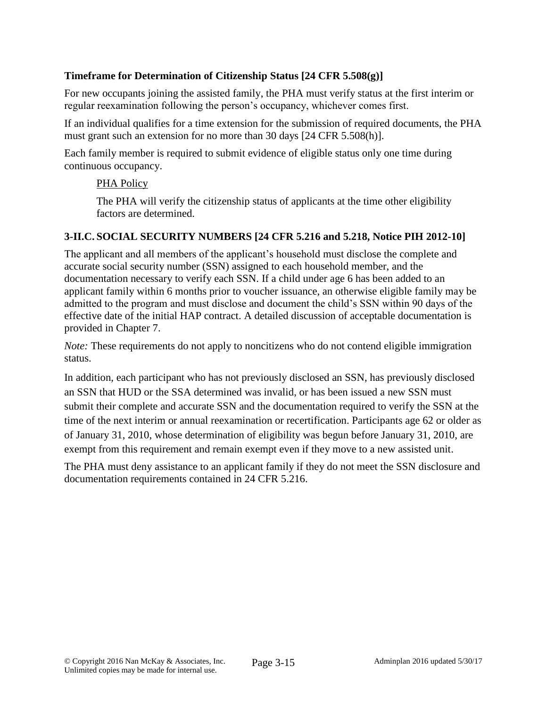# **Timeframe for Determination of Citizenship Status [24 CFR 5.508(g)]**

For new occupants joining the assisted family, the PHA must verify status at the first interim or regular reexamination following the person's occupancy, whichever comes first.

If an individual qualifies for a time extension for the submission of required documents, the PHA must grant such an extension for no more than 30 days [24 CFR 5.508(h)].

Each family member is required to submit evidence of eligible status only one time during continuous occupancy.

## PHA Policy

The PHA will verify the citizenship status of applicants at the time other eligibility factors are determined.

## **3-II.C. SOCIAL SECURITY NUMBERS [24 CFR 5.216 and 5.218, Notice PIH 2012-10]**

The applicant and all members of the applicant's household must disclose the complete and accurate social security number (SSN) assigned to each household member, and the documentation necessary to verify each SSN. If a child under age 6 has been added to an applicant family within 6 months prior to voucher issuance, an otherwise eligible family may be admitted to the program and must disclose and document the child's SSN within 90 days of the effective date of the initial HAP contract. A detailed discussion of acceptable documentation is provided in Chapter 7.

*Note:* These requirements do not apply to noncitizens who do not contend eligible immigration status.

In addition, each participant who has not previously disclosed an SSN, has previously disclosed an SSN that HUD or the SSA determined was invalid, or has been issued a new SSN must submit their complete and accurate SSN and the documentation required to verify the SSN at the time of the next interim or annual reexamination or recertification. Participants age 62 or older as of January 31, 2010, whose determination of eligibility was begun before January 31, 2010, are exempt from this requirement and remain exempt even if they move to a new assisted unit.

The PHA must deny assistance to an applicant family if they do not meet the SSN disclosure and documentation requirements contained in 24 CFR 5.216.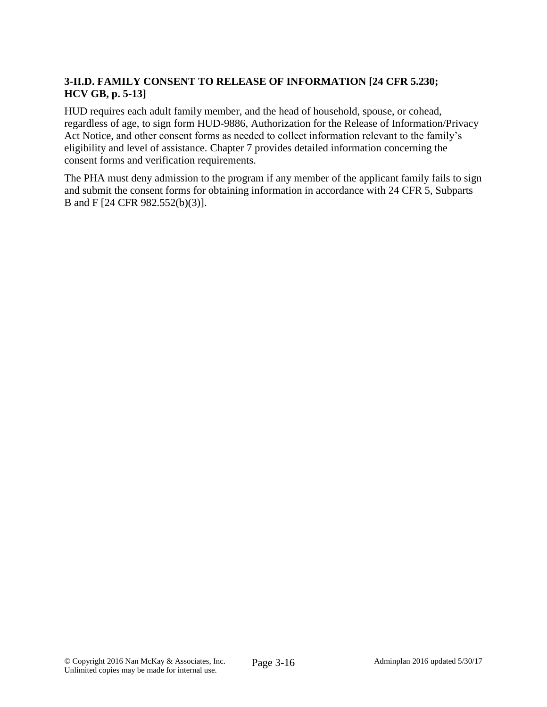# **3-II.D. FAMILY CONSENT TO RELEASE OF INFORMATION [24 CFR 5.230; HCV GB, p. 5-13]**

HUD requires each adult family member, and the head of household, spouse, or cohead, regardless of age, to sign form HUD-9886, Authorization for the Release of Information/Privacy Act Notice, and other consent forms as needed to collect information relevant to the family's eligibility and level of assistance. Chapter 7 provides detailed information concerning the consent forms and verification requirements.

The PHA must deny admission to the program if any member of the applicant family fails to sign and submit the consent forms for obtaining information in accordance with 24 CFR 5, Subparts B and F [24 CFR 982.552(b)(3)].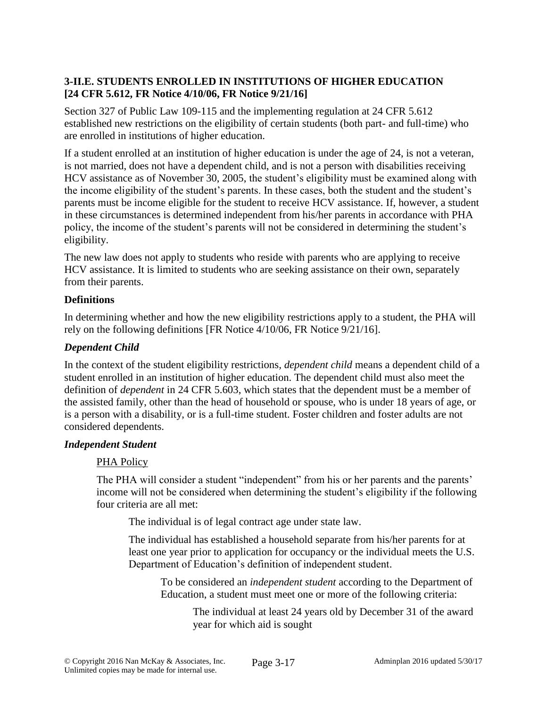# **3-II.E. STUDENTS ENROLLED IN INSTITUTIONS OF HIGHER EDUCATION [24 CFR 5.612, FR Notice 4/10/06, FR Notice 9/21/16]**

Section 327 of Public Law 109-115 and the implementing regulation at 24 CFR 5.612 established new restrictions on the eligibility of certain students (both part- and full-time) who are enrolled in institutions of higher education.

If a student enrolled at an institution of higher education is under the age of 24, is not a veteran, is not married, does not have a dependent child, and is not a person with disabilities receiving HCV assistance as of November 30, 2005, the student's eligibility must be examined along with the income eligibility of the student's parents. In these cases, both the student and the student's parents must be income eligible for the student to receive HCV assistance. If, however, a student in these circumstances is determined independent from his/her parents in accordance with PHA policy, the income of the student's parents will not be considered in determining the student's eligibility.

The new law does not apply to students who reside with parents who are applying to receive HCV assistance. It is limited to students who are seeking assistance on their own, separately from their parents.

# **Definitions**

In determining whether and how the new eligibility restrictions apply to a student, the PHA will rely on the following definitions [FR Notice 4/10/06, FR Notice 9/21/16].

# *Dependent Child*

In the context of the student eligibility restrictions*, dependent child* means a dependent child of a student enrolled in an institution of higher education. The dependent child must also meet the definition of *dependent* in 24 CFR 5.603, which states that the dependent must be a member of the assisted family, other than the head of household or spouse, who is under 18 years of age, or is a person with a disability, or is a full-time student. Foster children and foster adults are not considered dependents.

## *Independent Student*

# PHA Policy

The PHA will consider a student "independent" from his or her parents and the parents' income will not be considered when determining the student's eligibility if the following four criteria are all met:

The individual is of legal contract age under state law.

The individual has established a household separate from his/her parents for at least one year prior to application for occupancy or the individual meets the U.S. Department of Education's definition of independent student.

To be considered an *independent student* according to the Department of Education, a student must meet one or more of the following criteria:

> The individual at least 24 years old by December 31 of the award year for which aid is sought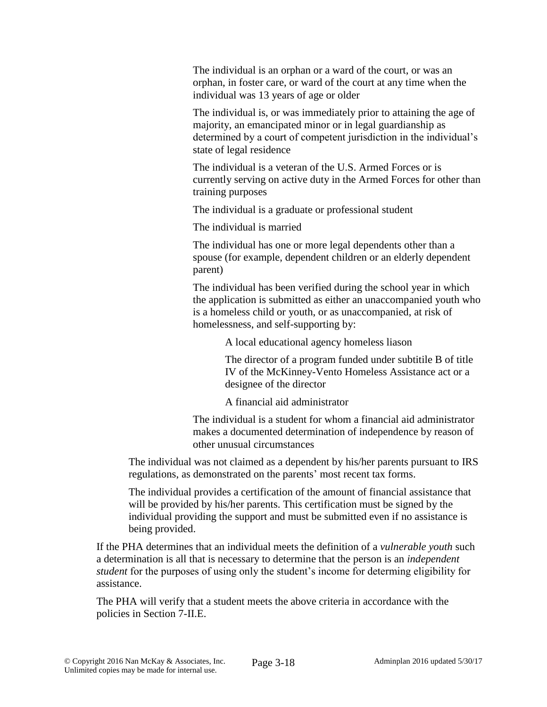The individual is an orphan or a ward of the court, or was an orphan, in foster care, or ward of the court at any time when the individual was 13 years of age or older

The individual is, or was immediately prior to attaining the age of majority, an emancipated minor or in legal guardianship as determined by a court of competent jurisdiction in the individual's state of legal residence

The individual is a veteran of the U.S. Armed Forces or is currently serving on active duty in the Armed Forces for other than training purposes

The individual is a graduate or professional student

The individual is married

The individual has one or more legal dependents other than a spouse (for example, dependent children or an elderly dependent parent)

The individual has been verified during the school year in which the application is submitted as either an unaccompanied youth who is a homeless child or youth, or as unaccompanied, at risk of homelessness, and self-supporting by:

A local educational agency homeless liason

The director of a program funded under subtitile B of title IV of the McKinney-Vento Homeless Assistance act or a designee of the director

A financial aid administrator

The individual is a student for whom a financial aid administrator makes a documented determination of independence by reason of other unusual circumstances

The individual was not claimed as a dependent by his/her parents pursuant to IRS regulations, as demonstrated on the parents' most recent tax forms.

The individual provides a certification of the amount of financial assistance that will be provided by his/her parents. This certification must be signed by the individual providing the support and must be submitted even if no assistance is being provided.

If the PHA determines that an individual meets the definition of a *vulnerable youth* such a determination is all that is necessary to determine that the person is an *independent student* for the purposes of using only the student's income for determing eligibility for assistance.

The PHA will verify that a student meets the above criteria in accordance with the policies in Section 7-II.E.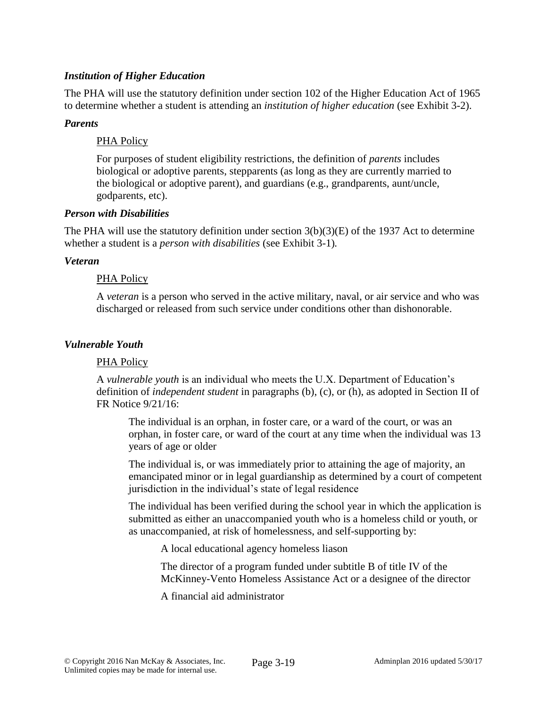### *Institution of Higher Education*

The PHA will use the statutory definition under section 102 of the Higher Education Act of 1965 to determine whether a student is attending an *institution of higher education* (see Exhibit 3-2).

### *Parents*

### PHA Policy

For purposes of student eligibility restrictions, the definition of *parents* includes biological or adoptive parents, stepparents (as long as they are currently married to the biological or adoptive parent), and guardians (e.g., grandparents, aunt/uncle, godparents, etc).

### *Person with Disabilities*

The PHA will use the statutory definition under section 3(b)(3)(E) of the 1937 Act to determine whether a student is a *person with disabilities* (see Exhibit 3-1)*.*

### *Veteran*

### PHA Policy

A *veteran* is a person who served in the active military, naval, or air service and who was discharged or released from such service under conditions other than dishonorable.

### *Vulnerable Youth*

### PHA Policy

A *vulnerable youth* is an individual who meets the U.X. Department of Education's definition of *independent student* in paragraphs (b), (c), or (h), as adopted in Section II of FR Notice 9/21/16:

The individual is an orphan, in foster care, or a ward of the court, or was an orphan, in foster care, or ward of the court at any time when the individual was 13 years of age or older

The individual is, or was immediately prior to attaining the age of majority, an emancipated minor or in legal guardianship as determined by a court of competent jurisdiction in the individual's state of legal residence

The individual has been verified during the school year in which the application is submitted as either an unaccompanied youth who is a homeless child or youth, or as unaccompanied, at risk of homelessness, and self-supporting by:

A local educational agency homeless liason

The director of a program funded under subtitle B of title IV of the McKinney-Vento Homeless Assistance Act or a designee of the director

A financial aid administrator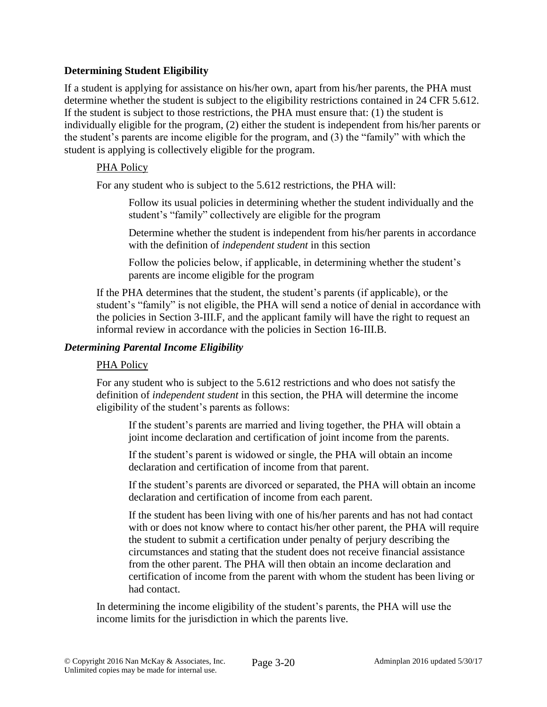## **Determining Student Eligibility**

If a student is applying for assistance on his/her own, apart from his/her parents, the PHA must determine whether the student is subject to the eligibility restrictions contained in 24 CFR 5.612. If the student is subject to those restrictions, the PHA must ensure that: (1) the student is individually eligible for the program, (2) either the student is independent from his/her parents or the student's parents are income eligible for the program, and (3) the "family" with which the student is applying is collectively eligible for the program.

### PHA Policy

For any student who is subject to the 5.612 restrictions, the PHA will:

Follow its usual policies in determining whether the student individually and the student's "family" collectively are eligible for the program

Determine whether the student is independent from his/her parents in accordance with the definition of *independent student* in this section

Follow the policies below, if applicable, in determining whether the student's parents are income eligible for the program

If the PHA determines that the student, the student's parents (if applicable), or the student's "family" is not eligible, the PHA will send a notice of denial in accordance with the policies in Section 3-III.F, and the applicant family will have the right to request an informal review in accordance with the policies in Section 16-III.B.

### *Determining Parental Income Eligibility*

### PHA Policy

For any student who is subject to the 5.612 restrictions and who does not satisfy the definition of *independent student* in this section, the PHA will determine the income eligibility of the student's parents as follows:

If the student's parents are married and living together, the PHA will obtain a joint income declaration and certification of joint income from the parents.

If the student's parent is widowed or single, the PHA will obtain an income declaration and certification of income from that parent.

If the student's parents are divorced or separated, the PHA will obtain an income declaration and certification of income from each parent.

If the student has been living with one of his/her parents and has not had contact with or does not know where to contact his/her other parent, the PHA will require the student to submit a certification under penalty of perjury describing the circumstances and stating that the student does not receive financial assistance from the other parent. The PHA will then obtain an income declaration and certification of income from the parent with whom the student has been living or had contact.

In determining the income eligibility of the student's parents, the PHA will use the income limits for the jurisdiction in which the parents live.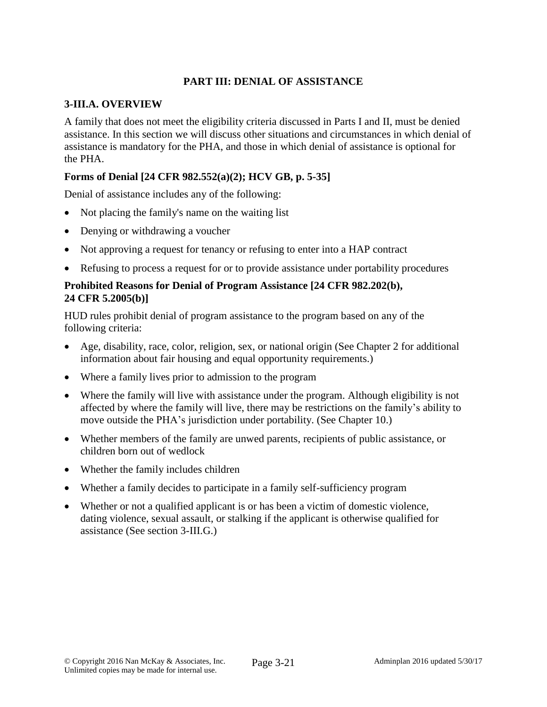# **PART III: DENIAL OF ASSISTANCE**

### **3-III.A. OVERVIEW**

A family that does not meet the eligibility criteria discussed in Parts I and II, must be denied assistance. In this section we will discuss other situations and circumstances in which denial of assistance is mandatory for the PHA, and those in which denial of assistance is optional for the PHA.

# **Forms of Denial [24 CFR 982.552(a)(2); HCV GB, p. 5-35]**

Denial of assistance includes any of the following:

- Not placing the family's name on the waiting list
- Denying or withdrawing a voucher
- Not approving a request for tenancy or refusing to enter into a HAP contract
- Refusing to process a request for or to provide assistance under portability procedures

### **Prohibited Reasons for Denial of Program Assistance [24 CFR 982.202(b), 24 CFR 5.2005(b)]**

HUD rules prohibit denial of program assistance to the program based on any of the following criteria:

- Age, disability, race, color, religion, sex, or national origin (See Chapter 2 for additional information about fair housing and equal opportunity requirements.)
- Where a family lives prior to admission to the program
- Where the family will live with assistance under the program. Although eligibility is not affected by where the family will live, there may be restrictions on the family's ability to move outside the PHA's jurisdiction under portability. (See Chapter 10.)
- Whether members of the family are unwed parents, recipients of public assistance, or children born out of wedlock
- Whether the family includes children
- Whether a family decides to participate in a family self-sufficiency program
- Whether or not a qualified applicant is or has been a victim of domestic violence, dating violence, sexual assault, or stalking if the applicant is otherwise qualified for assistance (See section 3-III.G.)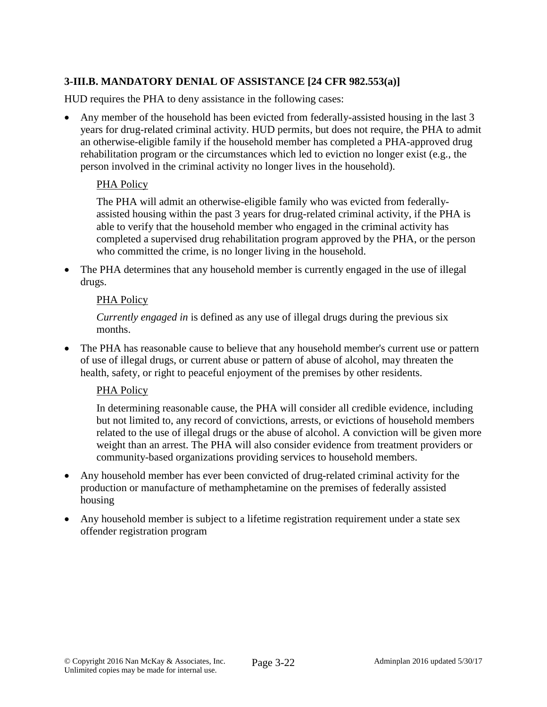# **3-III.B. MANDATORY DENIAL OF ASSISTANCE [24 CFR 982.553(a)]**

HUD requires the PHA to deny assistance in the following cases:

 Any member of the household has been evicted from federally-assisted housing in the last 3 years for drug-related criminal activity. HUD permits, but does not require, the PHA to admit an otherwise-eligible family if the household member has completed a PHA-approved drug rehabilitation program or the circumstances which led to eviction no longer exist (e.g., the person involved in the criminal activity no longer lives in the household).

# PHA Policy

The PHA will admit an otherwise-eligible family who was evicted from federallyassisted housing within the past 3 years for drug-related criminal activity, if the PHA is able to verify that the household member who engaged in the criminal activity has completed a supervised drug rehabilitation program approved by the PHA, or the person who committed the crime, is no longer living in the household.

 The PHA determines that any household member is currently engaged in the use of illegal drugs.

## PHA Policy

*Currently engaged in* is defined as any use of illegal drugs during the previous six months.

 The PHA has reasonable cause to believe that any household member's current use or pattern of use of illegal drugs, or current abuse or pattern of abuse of alcohol, may threaten the health, safety, or right to peaceful enjoyment of the premises by other residents.

## PHA Policy

In determining reasonable cause, the PHA will consider all credible evidence, including but not limited to, any record of convictions, arrests, or evictions of household members related to the use of illegal drugs or the abuse of alcohol. A conviction will be given more weight than an arrest. The PHA will also consider evidence from treatment providers or community-based organizations providing services to household members.

- Any household member has ever been convicted of drug-related criminal activity for the production or manufacture of methamphetamine on the premises of federally assisted housing
- Any household member is subject to a lifetime registration requirement under a state sex offender registration program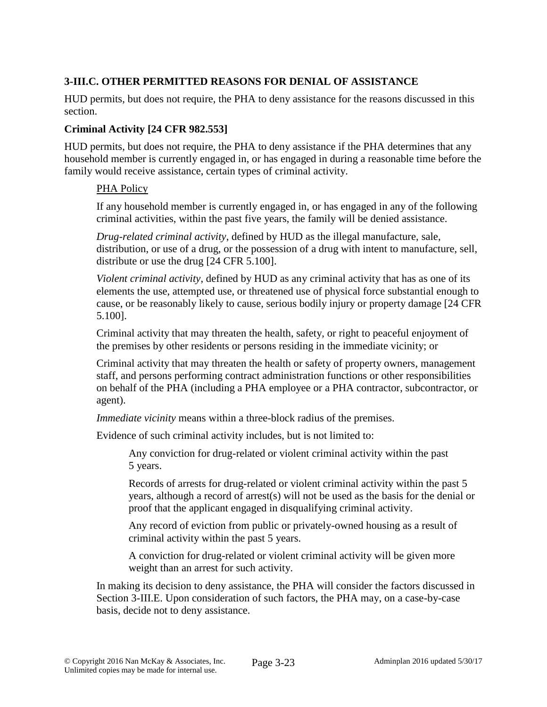# **3-III.C. OTHER PERMITTED REASONS FOR DENIAL OF ASSISTANCE**

HUD permits, but does not require, the PHA to deny assistance for the reasons discussed in this section.

### **Criminal Activity [24 CFR 982.553]**

HUD permits, but does not require, the PHA to deny assistance if the PHA determines that any household member is currently engaged in, or has engaged in during a reasonable time before the family would receive assistance, certain types of criminal activity.

### PHA Policy

If any household member is currently engaged in, or has engaged in any of the following criminal activities, within the past five years, the family will be denied assistance.

*Drug-related criminal activity*, defined by HUD as the illegal manufacture, sale, distribution, or use of a drug, or the possession of a drug with intent to manufacture, sell, distribute or use the drug [24 CFR 5.100].

*Violent criminal activity*, defined by HUD as any criminal activity that has as one of its elements the use, attempted use, or threatened use of physical force substantial enough to cause, or be reasonably likely to cause, serious bodily injury or property damage [24 CFR 5.100].

Criminal activity that may threaten the health, safety, or right to peaceful enjoyment of the premises by other residents or persons residing in the immediate vicinity; or

Criminal activity that may threaten the health or safety of property owners, management staff, and persons performing contract administration functions or other responsibilities on behalf of the PHA (including a PHA employee or a PHA contractor, subcontractor, or agent).

*Immediate vicinity* means within a three-block radius of the premises.

Evidence of such criminal activity includes, but is not limited to:

Any conviction for drug-related or violent criminal activity within the past 5 years.

Records of arrests for drug-related or violent criminal activity within the past 5 years, although a record of arrest(s) will not be used as the basis for the denial or proof that the applicant engaged in disqualifying criminal activity.

Any record of eviction from public or privately-owned housing as a result of criminal activity within the past 5 years.

A conviction for drug-related or violent criminal activity will be given more weight than an arrest for such activity.

In making its decision to deny assistance, the PHA will consider the factors discussed in Section 3-III.E. Upon consideration of such factors, the PHA may, on a case-by-case basis, decide not to deny assistance.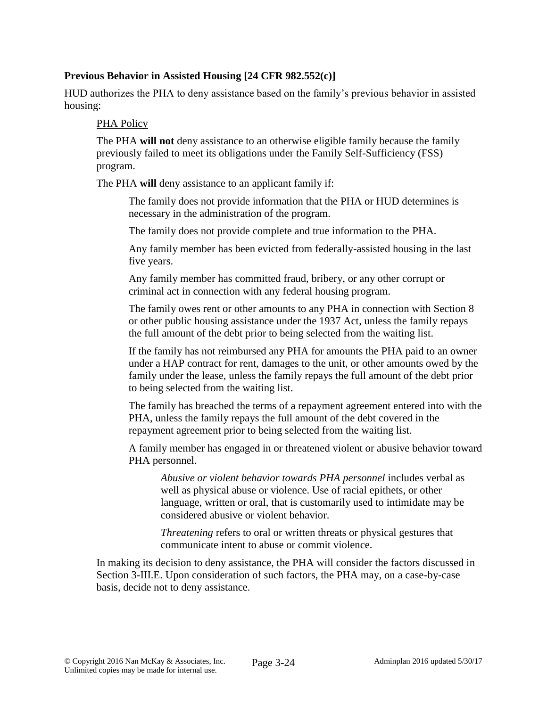# **Previous Behavior in Assisted Housing [24 CFR 982.552(c)]**

HUD authorizes the PHA to deny assistance based on the family's previous behavior in assisted housing:

### PHA Policy

The PHA **will not** deny assistance to an otherwise eligible family because the family previously failed to meet its obligations under the Family Self-Sufficiency (FSS) program.

The PHA **will** deny assistance to an applicant family if:

The family does not provide information that the PHA or HUD determines is necessary in the administration of the program.

The family does not provide complete and true information to the PHA.

Any family member has been evicted from federally-assisted housing in the last five years.

Any family member has committed fraud, bribery, or any other corrupt or criminal act in connection with any federal housing program.

The family owes rent or other amounts to any PHA in connection with Section 8 or other public housing assistance under the 1937 Act, unless the family repays the full amount of the debt prior to being selected from the waiting list.

If the family has not reimbursed any PHA for amounts the PHA paid to an owner under a HAP contract for rent, damages to the unit, or other amounts owed by the family under the lease, unless the family repays the full amount of the debt prior to being selected from the waiting list.

The family has breached the terms of a repayment agreement entered into with the PHA, unless the family repays the full amount of the debt covered in the repayment agreement prior to being selected from the waiting list.

A family member has engaged in or threatened violent or abusive behavior toward PHA personnel.

*Abusive or violent behavior towards PHA personnel* includes verbal as well as physical abuse or violence. Use of racial epithets, or other language, written or oral, that is customarily used to intimidate may be considered abusive or violent behavior.

*Threatening* refers to oral or written threats or physical gestures that communicate intent to abuse or commit violence.

In making its decision to deny assistance, the PHA will consider the factors discussed in Section 3-III.E. Upon consideration of such factors, the PHA may, on a case-by-case basis, decide not to deny assistance.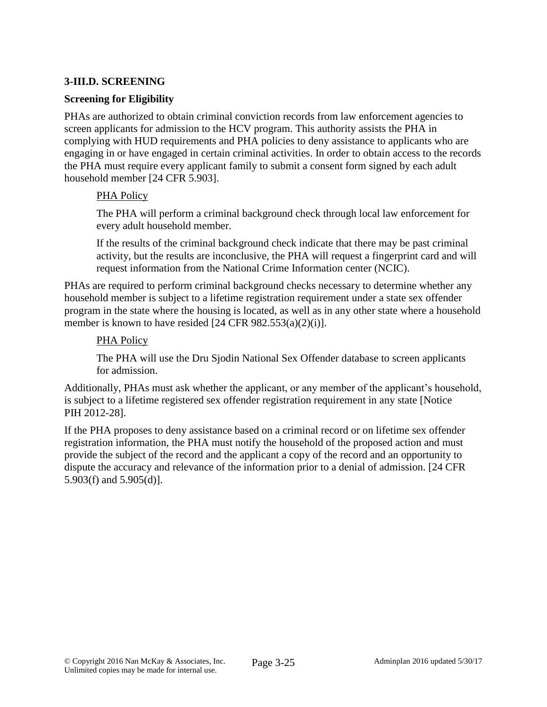# **3-III.D. SCREENING**

### **Screening for Eligibility**

PHAs are authorized to obtain criminal conviction records from law enforcement agencies to screen applicants for admission to the HCV program. This authority assists the PHA in complying with HUD requirements and PHA policies to deny assistance to applicants who are engaging in or have engaged in certain criminal activities. In order to obtain access to the records the PHA must require every applicant family to submit a consent form signed by each adult household member [24 CFR 5.903].

### PHA Policy

The PHA will perform a criminal background check through local law enforcement for every adult household member.

If the results of the criminal background check indicate that there may be past criminal activity, but the results are inconclusive, the PHA will request a fingerprint card and will request information from the National Crime Information center (NCIC).

PHAs are required to perform criminal background checks necessary to determine whether any household member is subject to a lifetime registration requirement under a state sex offender program in the state where the housing is located, as well as in any other state where a household member is known to have resided [24 CFR 982.553(a)(2)(i)].

### PHA Policy

The PHA will use the Dru Sjodin National Sex Offender database to screen applicants for admission.

Additionally, PHAs must ask whether the applicant, or any member of the applicant's household, is subject to a lifetime registered sex offender registration requirement in any state [Notice PIH 2012-28].

If the PHA proposes to deny assistance based on a criminal record or on lifetime sex offender registration information, the PHA must notify the household of the proposed action and must provide the subject of the record and the applicant a copy of the record and an opportunity to dispute the accuracy and relevance of the information prior to a denial of admission. [24 CFR 5.903(f) and 5.905(d)].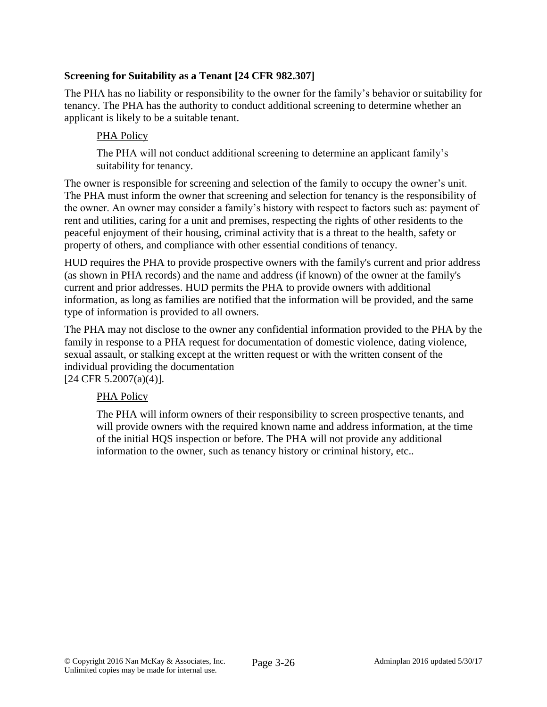# **Screening for Suitability as a Tenant [24 CFR 982.307]**

The PHA has no liability or responsibility to the owner for the family's behavior or suitability for tenancy. The PHA has the authority to conduct additional screening to determine whether an applicant is likely to be a suitable tenant.

# PHA Policy

The PHA will not conduct additional screening to determine an applicant family's suitability for tenancy.

The owner is responsible for screening and selection of the family to occupy the owner's unit. The PHA must inform the owner that screening and selection for tenancy is the responsibility of the owner. An owner may consider a family's history with respect to factors such as: payment of rent and utilities, caring for a unit and premises, respecting the rights of other residents to the peaceful enjoyment of their housing, criminal activity that is a threat to the health, safety or property of others, and compliance with other essential conditions of tenancy.

HUD requires the PHA to provide prospective owners with the family's current and prior address (as shown in PHA records) and the name and address (if known) of the owner at the family's current and prior addresses. HUD permits the PHA to provide owners with additional information, as long as families are notified that the information will be provided, and the same type of information is provided to all owners.

The PHA may not disclose to the owner any confidential information provided to the PHA by the family in response to a PHA request for documentation of domestic violence, dating violence, sexual assault, or stalking except at the written request or with the written consent of the individual providing the documentation

[24 CFR 5.2007(a)(4)].

## PHA Policy

The PHA will inform owners of their responsibility to screen prospective tenants, and will provide owners with the required known name and address information, at the time of the initial HQS inspection or before. The PHA will not provide any additional information to the owner, such as tenancy history or criminal history, etc..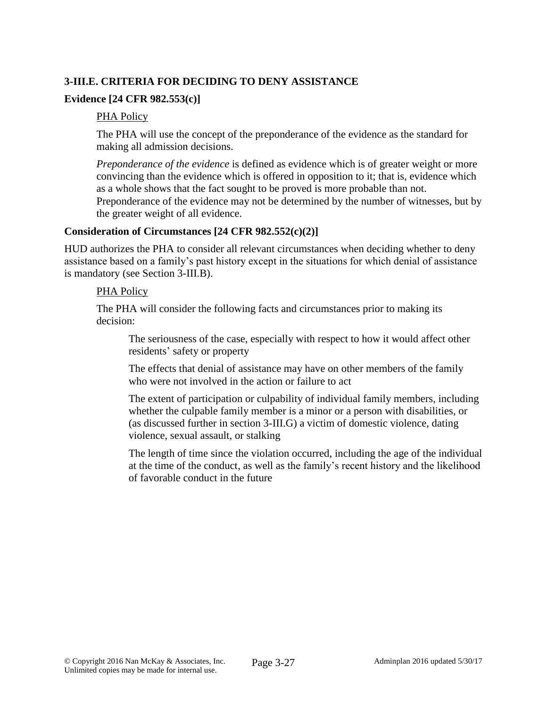# **3-III.E. CRITERIA FOR DECIDING TO DENY ASSISTANCE**

# **Evidence [24 CFR 982.553(c)]**

### PHA Policy

The PHA will use the concept of the preponderance of the evidence as the standard for making all admission decisions.

*Preponderance of the evidence* is defined as evidence which is of greater weight or more convincing than the evidence which is offered in opposition to it; that is, evidence which as a whole shows that the fact sought to be proved is more probable than not. Preponderance of the evidence may not be determined by the number of witnesses, but by the greater weight of all evidence.

### **Consideration of Circumstances [24 CFR 982.552(c)(2)]**

HUD authorizes the PHA to consider all relevant circumstances when deciding whether to deny assistance based on a family's past history except in the situations for which denial of assistance is mandatory (see Section 3-III.B).

### PHA Policy

The PHA will consider the following facts and circumstances prior to making its decision:

The seriousness of the case, especially with respect to how it would affect other residents' safety or property

The effects that denial of assistance may have on other members of the family who were not involved in the action or failure to act

The extent of participation or culpability of individual family members, including whether the culpable family member is a minor or a person with disabilities, or (as discussed further in section 3-III.G) a victim of domestic violence, dating violence, sexual assault, or stalking

The length of time since the violation occurred, including the age of the individual at the time of the conduct, as well as the family's recent history and the likelihood of favorable conduct in the future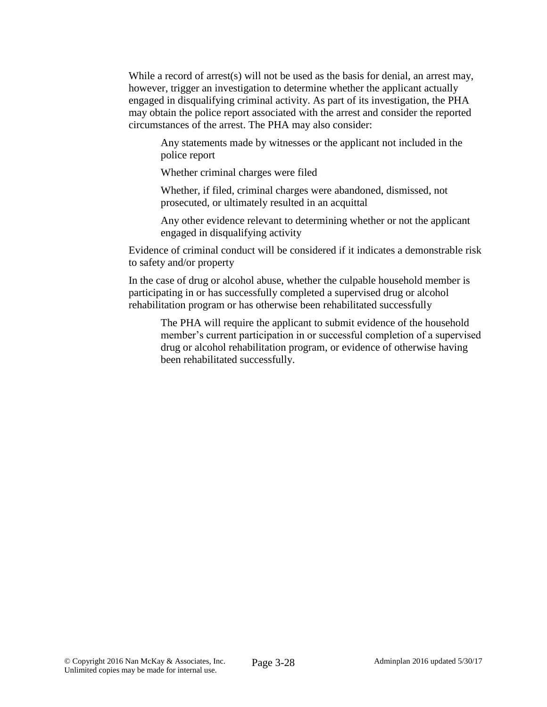While a record of arrest(s) will not be used as the basis for denial, an arrest may, however, trigger an investigation to determine whether the applicant actually engaged in disqualifying criminal activity. As part of its investigation, the PHA may obtain the police report associated with the arrest and consider the reported circumstances of the arrest. The PHA may also consider:

Any statements made by witnesses or the applicant not included in the police report

Whether criminal charges were filed

Whether, if filed, criminal charges were abandoned, dismissed, not prosecuted, or ultimately resulted in an acquittal

Any other evidence relevant to determining whether or not the applicant engaged in disqualifying activity

Evidence of criminal conduct will be considered if it indicates a demonstrable risk to safety and/or property

In the case of drug or alcohol abuse, whether the culpable household member is participating in or has successfully completed a supervised drug or alcohol rehabilitation program or has otherwise been rehabilitated successfully

The PHA will require the applicant to submit evidence of the household member's current participation in or successful completion of a supervised drug or alcohol rehabilitation program, or evidence of otherwise having been rehabilitated successfully.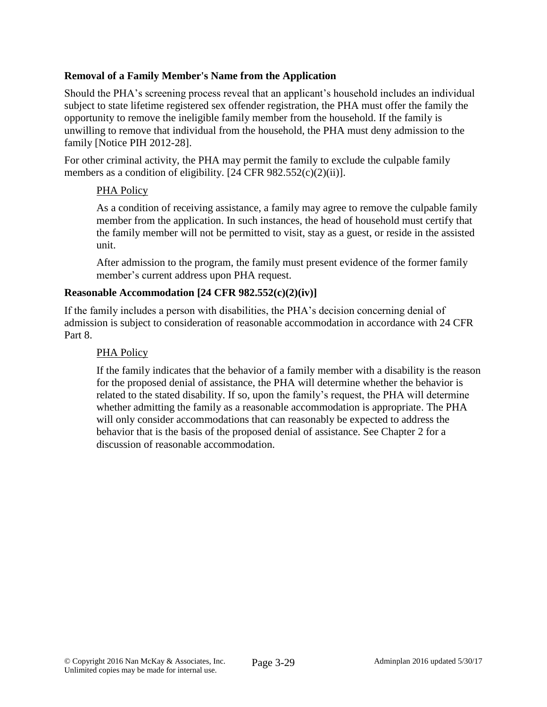## **Removal of a Family Member's Name from the Application**

Should the PHA's screening process reveal that an applicant's household includes an individual subject to state lifetime registered sex offender registration, the PHA must offer the family the opportunity to remove the ineligible family member from the household. If the family is unwilling to remove that individual from the household, the PHA must deny admission to the family [Notice PIH 2012-28].

For other criminal activity, the PHA may permit the family to exclude the culpable family members as a condition of eligibility. [24 CFR 982.552(c)(2)(ii)].

## PHA Policy

As a condition of receiving assistance, a family may agree to remove the culpable family member from the application. In such instances, the head of household must certify that the family member will not be permitted to visit, stay as a guest, or reside in the assisted unit.

After admission to the program, the family must present evidence of the former family member's current address upon PHA request.

## **Reasonable Accommodation [24 CFR 982.552(c)(2)(iv)]**

If the family includes a person with disabilities, the PHA's decision concerning denial of admission is subject to consideration of reasonable accommodation in accordance with 24 CFR Part 8.

### PHA Policy

If the family indicates that the behavior of a family member with a disability is the reason for the proposed denial of assistance, the PHA will determine whether the behavior is related to the stated disability. If so, upon the family's request, the PHA will determine whether admitting the family as a reasonable accommodation is appropriate. The PHA will only consider accommodations that can reasonably be expected to address the behavior that is the basis of the proposed denial of assistance. See Chapter 2 for a discussion of reasonable accommodation.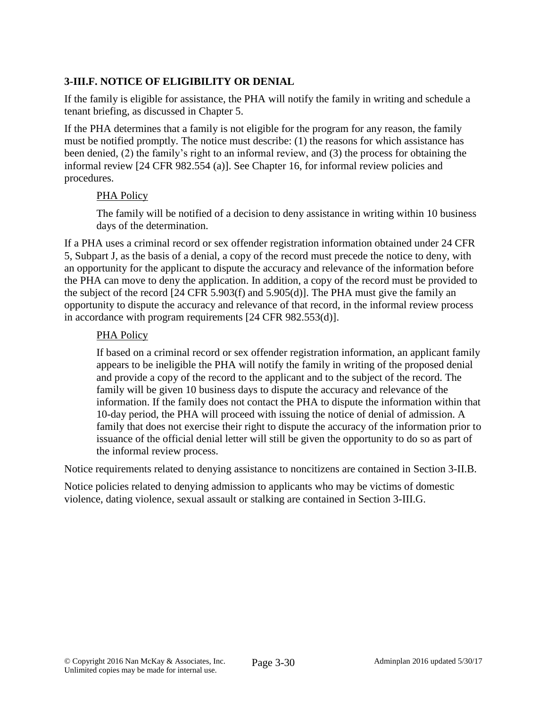# **3-III.F. NOTICE OF ELIGIBILITY OR DENIAL**

If the family is eligible for assistance, the PHA will notify the family in writing and schedule a tenant briefing, as discussed in Chapter 5.

If the PHA determines that a family is not eligible for the program for any reason, the family must be notified promptly. The notice must describe: (1) the reasons for which assistance has been denied, (2) the family's right to an informal review, and (3) the process for obtaining the informal review [24 CFR 982.554 (a)]. See Chapter 16, for informal review policies and procedures.

### PHA Policy

The family will be notified of a decision to deny assistance in writing within 10 business days of the determination.

If a PHA uses a criminal record or sex offender registration information obtained under 24 CFR 5, Subpart J, as the basis of a denial, a copy of the record must precede the notice to deny, with an opportunity for the applicant to dispute the accuracy and relevance of the information before the PHA can move to deny the application. In addition, a copy of the record must be provided to the subject of the record [24 CFR 5.903(f) and 5.905(d)]. The PHA must give the family an opportunity to dispute the accuracy and relevance of that record, in the informal review process in accordance with program requirements [24 CFR 982.553(d)].

### PHA Policy

If based on a criminal record or sex offender registration information, an applicant family appears to be ineligible the PHA will notify the family in writing of the proposed denial and provide a copy of the record to the applicant and to the subject of the record. The family will be given 10 business days to dispute the accuracy and relevance of the information. If the family does not contact the PHA to dispute the information within that 10-day period, the PHA will proceed with issuing the notice of denial of admission. A family that does not exercise their right to dispute the accuracy of the information prior to issuance of the official denial letter will still be given the opportunity to do so as part of the informal review process.

Notice requirements related to denying assistance to noncitizens are contained in Section 3-II.B.

Notice policies related to denying admission to applicants who may be victims of domestic violence, dating violence, sexual assault or stalking are contained in Section 3-III.G.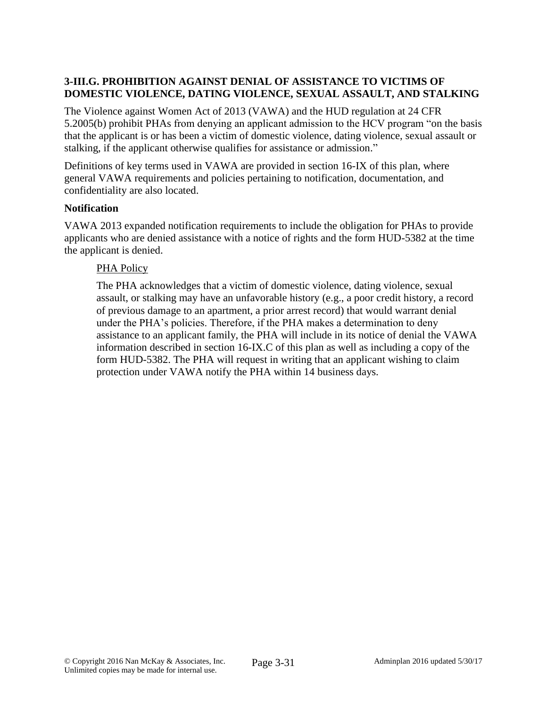# **3-III.G. PROHIBITION AGAINST DENIAL OF ASSISTANCE TO VICTIMS OF DOMESTIC VIOLENCE, DATING VIOLENCE, SEXUAL ASSAULT, AND STALKING**

The Violence against Women Act of 2013 (VAWA) and the HUD regulation at 24 CFR 5.2005(b) prohibit PHAs from denying an applicant admission to the HCV program "on the basis that the applicant is or has been a victim of domestic violence, dating violence, sexual assault or stalking, if the applicant otherwise qualifies for assistance or admission."

Definitions of key terms used in VAWA are provided in section 16-IX of this plan, where general VAWA requirements and policies pertaining to notification, documentation, and confidentiality are also located.

### **Notification**

VAWA 2013 expanded notification requirements to include the obligation for PHAs to provide applicants who are denied assistance with a notice of rights and the form HUD-5382 at the time the applicant is denied.

### PHA Policy

The PHA acknowledges that a victim of domestic violence, dating violence, sexual assault, or stalking may have an unfavorable history (e.g., a poor credit history, a record of previous damage to an apartment, a prior arrest record) that would warrant denial under the PHA's policies. Therefore, if the PHA makes a determination to deny assistance to an applicant family, the PHA will include in its notice of denial the VAWA information described in section 16-IX.C of this plan as well as including a copy of the form HUD-5382. The PHA will request in writing that an applicant wishing to claim protection under VAWA notify the PHA within 14 business days.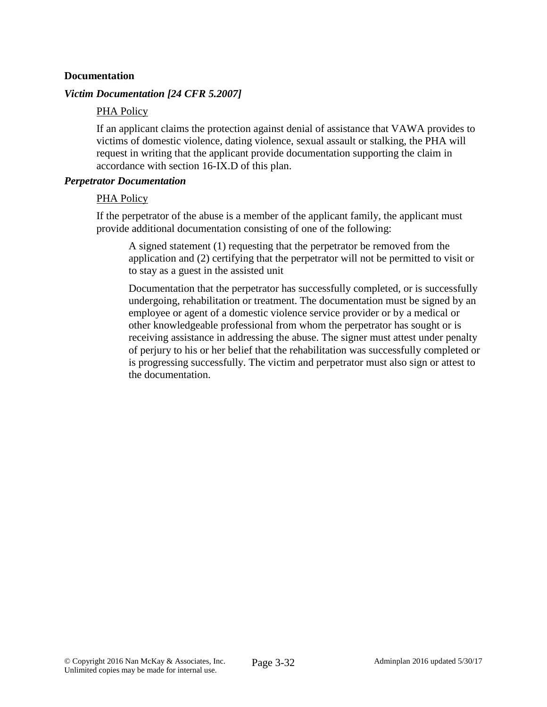### **Documentation**

### *Victim Documentation [24 CFR 5.2007]*

### PHA Policy

If an applicant claims the protection against denial of assistance that VAWA provides to victims of domestic violence, dating violence, sexual assault or stalking, the PHA will request in writing that the applicant provide documentation supporting the claim in accordance with section 16-IX.D of this plan.

### *Perpetrator Documentation*

### PHA Policy

If the perpetrator of the abuse is a member of the applicant family, the applicant must provide additional documentation consisting of one of the following:

A signed statement (1) requesting that the perpetrator be removed from the application and (2) certifying that the perpetrator will not be permitted to visit or to stay as a guest in the assisted unit

Documentation that the perpetrator has successfully completed, or is successfully undergoing, rehabilitation or treatment. The documentation must be signed by an employee or agent of a domestic violence service provider or by a medical or other knowledgeable professional from whom the perpetrator has sought or is receiving assistance in addressing the abuse. The signer must attest under penalty of perjury to his or her belief that the rehabilitation was successfully completed or is progressing successfully. The victim and perpetrator must also sign or attest to the documentation.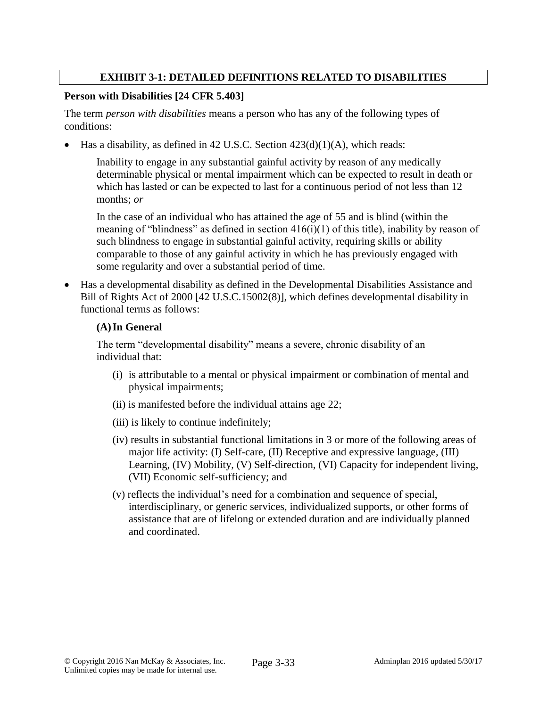## **EXHIBIT 3-1: DETAILED DEFINITIONS RELATED TO DISABILITIES**

### **Person with Disabilities [24 CFR 5.403]**

The term *person with disabilities* means a person who has any of the following types of conditions:

Has a disability, as defined in 42 U.S.C. Section 423(d)(1)(A), which reads:

Inability to engage in any substantial gainful activity by reason of any medically determinable physical or mental impairment which can be expected to result in death or which has lasted or can be expected to last for a continuous period of not less than 12 months; *or*

In the case of an individual who has attained the age of 55 and is blind (within the meaning of "blindness" as defined in section  $416(i)(1)$  of this title), inability by reason of such blindness to engage in substantial gainful activity, requiring skills or ability comparable to those of any gainful activity in which he has previously engaged with some regularity and over a substantial period of time.

 Has a developmental disability as defined in the Developmental Disabilities Assistance and Bill of Rights Act of 2000 [42 U.S.C.15002(8)], which defines developmental disability in functional terms as follows:

### **(A)In General**

The term "developmental disability" means a severe, chronic disability of an individual that:

- (i) is attributable to a mental or physical impairment or combination of mental and physical impairments;
- (ii) is manifested before the individual attains age 22;
- (iii) is likely to continue indefinitely;
- (iv) results in substantial functional limitations in 3 or more of the following areas of major life activity: (I) Self-care, (II) Receptive and expressive language, (III) Learning, (IV) Mobility, (V) Self-direction, (VI) Capacity for independent living, (VII) Economic self-sufficiency; and
- (v) reflects the individual's need for a combination and sequence of special, interdisciplinary, or generic services, individualized supports, or other forms of assistance that are of lifelong or extended duration and are individually planned and coordinated.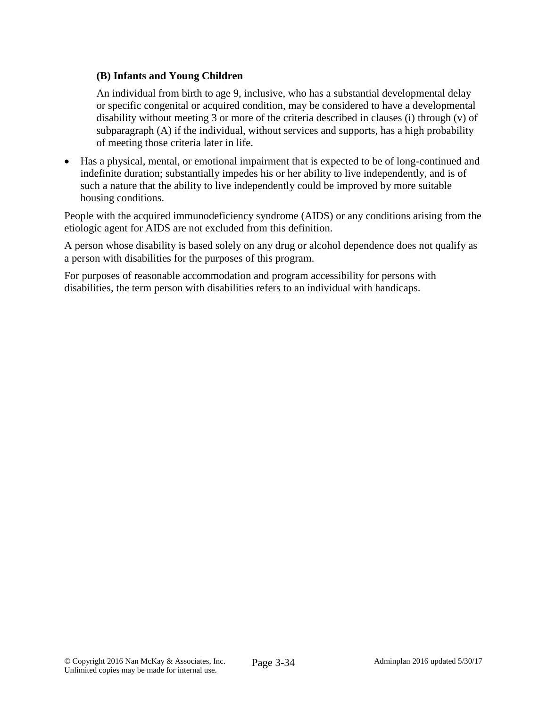## **(B) Infants and Young Children**

An individual from birth to age 9, inclusive, who has a substantial developmental delay or specific congenital or acquired condition, may be considered to have a developmental disability without meeting 3 or more of the criteria described in clauses (i) through (v) of subparagraph (A) if the individual, without services and supports, has a high probability of meeting those criteria later in life.

 Has a physical, mental, or emotional impairment that is expected to be of long-continued and indefinite duration; substantially impedes his or her ability to live independently, and is of such a nature that the ability to live independently could be improved by more suitable housing conditions.

People with the acquired immunodeficiency syndrome (AIDS) or any conditions arising from the etiologic agent for AIDS are not excluded from this definition.

A person whose disability is based solely on any drug or alcohol dependence does not qualify as a person with disabilities for the purposes of this program.

For purposes of reasonable accommodation and program accessibility for persons with disabilities, the term person with disabilities refers to an individual with handicaps.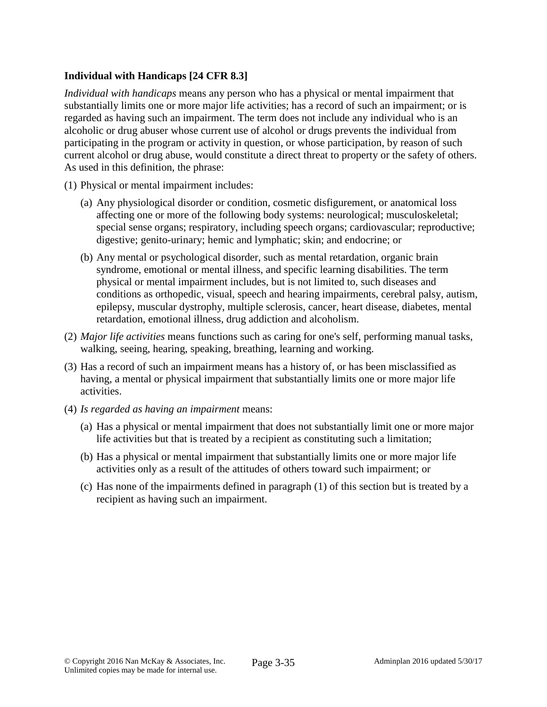# **Individual with Handicaps [24 CFR 8.3]**

*Individual with handicaps* means any person who has a physical or mental impairment that substantially limits one or more major life activities; has a record of such an impairment; or is regarded as having such an impairment. The term does not include any individual who is an alcoholic or drug abuser whose current use of alcohol or drugs prevents the individual from participating in the program or activity in question, or whose participation, by reason of such current alcohol or drug abuse, would constitute a direct threat to property or the safety of others. As used in this definition, the phrase:

- (1) Physical or mental impairment includes:
	- (a) Any physiological disorder or condition, cosmetic disfigurement, or anatomical loss affecting one or more of the following body systems: neurological; musculoskeletal; special sense organs; respiratory, including speech organs; cardiovascular; reproductive; digestive; genito-urinary; hemic and lymphatic; skin; and endocrine; or
	- (b) Any mental or psychological disorder, such as mental retardation, organic brain syndrome, emotional or mental illness, and specific learning disabilities. The term physical or mental impairment includes, but is not limited to, such diseases and conditions as orthopedic, visual, speech and hearing impairments, cerebral palsy, autism, epilepsy, muscular dystrophy, multiple sclerosis, cancer, heart disease, diabetes, mental retardation, emotional illness, drug addiction and alcoholism.
- (2) *Major life activities* means functions such as caring for one's self, performing manual tasks, walking, seeing, hearing, speaking, breathing, learning and working.
- (3) Has a record of such an impairment means has a history of, or has been misclassified as having, a mental or physical impairment that substantially limits one or more major life activities.
- (4) *Is regarded as having an impairment* means:
	- (a) Has a physical or mental impairment that does not substantially limit one or more major life activities but that is treated by a recipient as constituting such a limitation;
	- (b) Has a physical or mental impairment that substantially limits one or more major life activities only as a result of the attitudes of others toward such impairment; or
	- (c) Has none of the impairments defined in paragraph (1) of this section but is treated by a recipient as having such an impairment.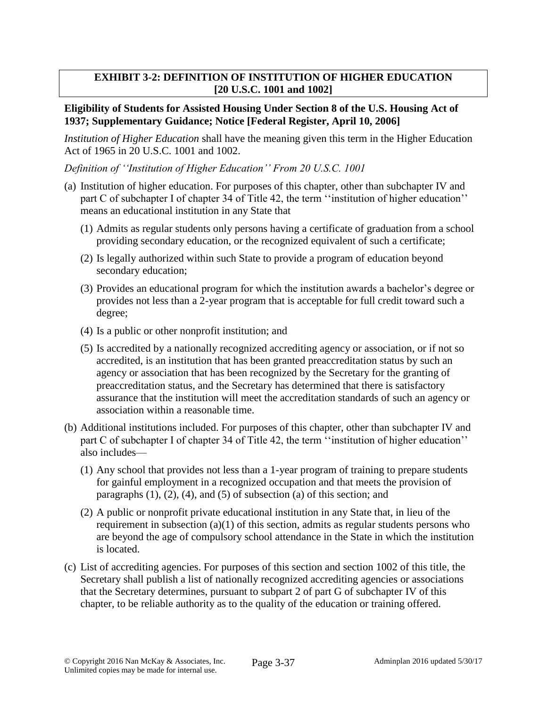## **EXHIBIT 3-2: DEFINITION OF INSTITUTION OF HIGHER EDUCATION [20 U.S.C. 1001 and 1002]**

### **Eligibility of Students for Assisted Housing Under Section 8 of the U.S. Housing Act of 1937; Supplementary Guidance; Notice [Federal Register, April 10, 2006]**

*Institution of Higher Education* shall have the meaning given this term in the Higher Education Act of 1965 in 20 U.S.C. 1001 and 1002.

*Definition of ''Institution of Higher Education'' From 20 U.S.C. 1001*

- (a) Institution of higher education. For purposes of this chapter, other than subchapter IV and part C of subchapter I of chapter 34 of Title 42, the term ''institution of higher education'' means an educational institution in any State that
	- (1) Admits as regular students only persons having a certificate of graduation from a school providing secondary education, or the recognized equivalent of such a certificate;
	- (2) Is legally authorized within such State to provide a program of education beyond secondary education;
	- (3) Provides an educational program for which the institution awards a bachelor's degree or provides not less than a 2-year program that is acceptable for full credit toward such a degree;
	- (4) Is a public or other nonprofit institution; and
	- (5) Is accredited by a nationally recognized accrediting agency or association, or if not so accredited, is an institution that has been granted preaccreditation status by such an agency or association that has been recognized by the Secretary for the granting of preaccreditation status, and the Secretary has determined that there is satisfactory assurance that the institution will meet the accreditation standards of such an agency or association within a reasonable time.
- (b) Additional institutions included. For purposes of this chapter, other than subchapter IV and part C of subchapter I of chapter 34 of Title 42, the term ''institution of higher education'' also includes—
	- (1) Any school that provides not less than a 1-year program of training to prepare students for gainful employment in a recognized occupation and that meets the provision of paragraphs  $(1)$ ,  $(2)$ ,  $(4)$ , and  $(5)$  of subsection  $(a)$  of this section; and
	- (2) A public or nonprofit private educational institution in any State that, in lieu of the requirement in subsection  $(a)(1)$  of this section, admits as regular students persons who are beyond the age of compulsory school attendance in the State in which the institution is located.
- (c) List of accrediting agencies. For purposes of this section and section 1002 of this title, the Secretary shall publish a list of nationally recognized accrediting agencies or associations that the Secretary determines, pursuant to subpart 2 of part G of subchapter IV of this chapter, to be reliable authority as to the quality of the education or training offered.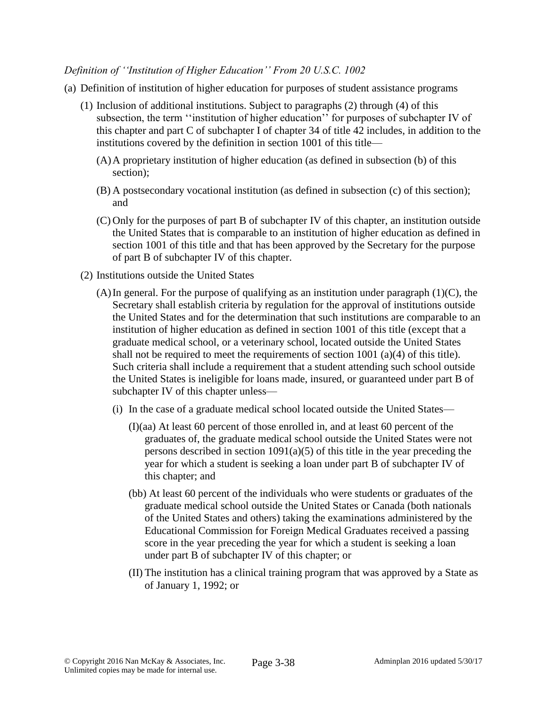### *Definition of ''Institution of Higher Education'' From 20 U.S.C. 1002*

- (a) Definition of institution of higher education for purposes of student assistance programs
	- (1) Inclusion of additional institutions. Subject to paragraphs (2) through (4) of this subsection, the term ''institution of higher education'' for purposes of subchapter IV of this chapter and part C of subchapter I of chapter 34 of title 42 includes, in addition to the institutions covered by the definition in section 1001 of this title—
		- (A)A proprietary institution of higher education (as defined in subsection (b) of this section);
		- (B) A postsecondary vocational institution (as defined in subsection (c) of this section); and
		- (C) Only for the purposes of part B of subchapter IV of this chapter, an institution outside the United States that is comparable to an institution of higher education as defined in section 1001 of this title and that has been approved by the Secretary for the purpose of part B of subchapter IV of this chapter.
	- (2) Institutions outside the United States
		- (A) In general. For the purpose of qualifying as an institution under paragraph  $(1)(C)$ , the Secretary shall establish criteria by regulation for the approval of institutions outside the United States and for the determination that such institutions are comparable to an institution of higher education as defined in section 1001 of this title (except that a graduate medical school, or a veterinary school, located outside the United States shall not be required to meet the requirements of section 1001 (a)(4) of this title). Such criteria shall include a requirement that a student attending such school outside the United States is ineligible for loans made, insured, or guaranteed under part B of subchapter IV of this chapter unless—
			- (i) In the case of a graduate medical school located outside the United States—
				- (I)(aa) At least 60 percent of those enrolled in, and at least 60 percent of the graduates of, the graduate medical school outside the United States were not persons described in section  $1091(a)(5)$  of this title in the year preceding the year for which a student is seeking a loan under part B of subchapter IV of this chapter; and
				- (bb) At least 60 percent of the individuals who were students or graduates of the graduate medical school outside the United States or Canada (both nationals of the United States and others) taking the examinations administered by the Educational Commission for Foreign Medical Graduates received a passing score in the year preceding the year for which a student is seeking a loan under part B of subchapter IV of this chapter; or
				- (II) The institution has a clinical training program that was approved by a State as of January 1, 1992; or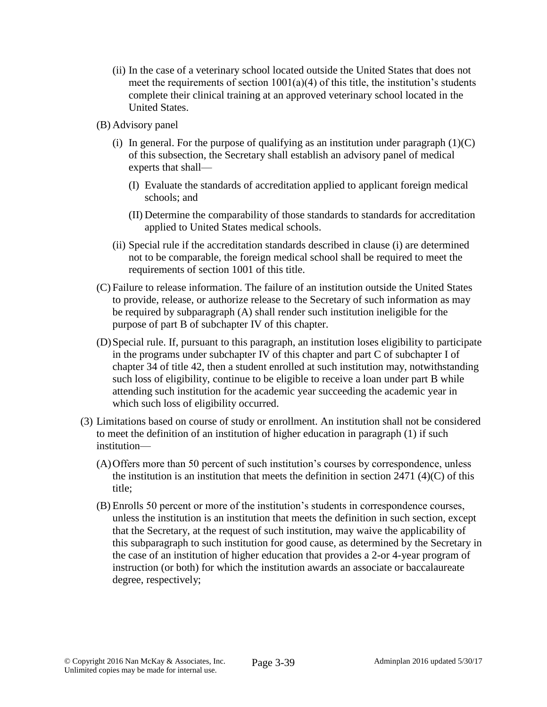- (ii) In the case of a veterinary school located outside the United States that does not meet the requirements of section  $1001(a)(4)$  of this title, the institution's students complete their clinical training at an approved veterinary school located in the United States.
- (B) Advisory panel
	- (i) In general. For the purpose of qualifying as an institution under paragraph  $(1)(C)$ of this subsection, the Secretary shall establish an advisory panel of medical experts that shall—
		- (I) Evaluate the standards of accreditation applied to applicant foreign medical schools; and
		- (II) Determine the comparability of those standards to standards for accreditation applied to United States medical schools.
	- (ii) Special rule if the accreditation standards described in clause (i) are determined not to be comparable, the foreign medical school shall be required to meet the requirements of section 1001 of this title.
- (C) Failure to release information. The failure of an institution outside the United States to provide, release, or authorize release to the Secretary of such information as may be required by subparagraph (A) shall render such institution ineligible for the purpose of part B of subchapter IV of this chapter.
- (D)Special rule. If, pursuant to this paragraph, an institution loses eligibility to participate in the programs under subchapter IV of this chapter and part C of subchapter I of chapter 34 of title 42, then a student enrolled at such institution may, notwithstanding such loss of eligibility, continue to be eligible to receive a loan under part B while attending such institution for the academic year succeeding the academic year in which such loss of eligibility occurred.
- (3) Limitations based on course of study or enrollment. An institution shall not be considered to meet the definition of an institution of higher education in paragraph (1) if such institution—
	- (A)Offers more than 50 percent of such institution's courses by correspondence, unless the institution is an institution that meets the definition in section  $2471 \frac{4}{C}$  of this title;
	- (B) Enrolls 50 percent or more of the institution's students in correspondence courses, unless the institution is an institution that meets the definition in such section, except that the Secretary, at the request of such institution, may waive the applicability of this subparagraph to such institution for good cause, as determined by the Secretary in the case of an institution of higher education that provides a 2-or 4-year program of instruction (or both) for which the institution awards an associate or baccalaureate degree, respectively;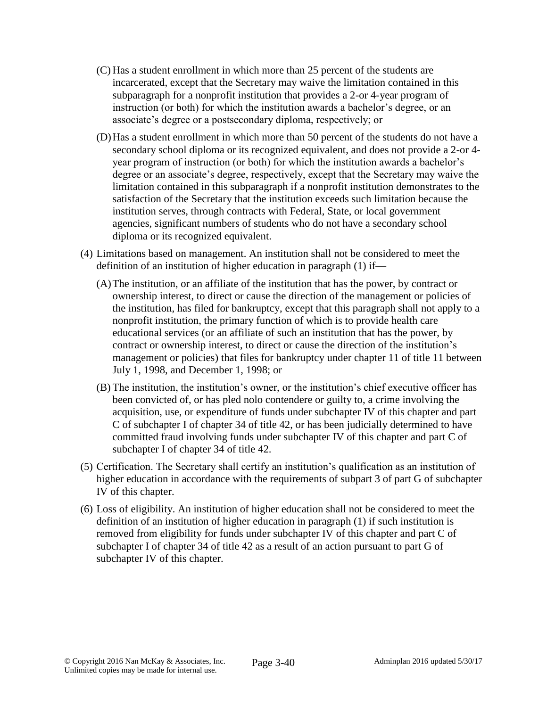- (C) Has a student enrollment in which more than 25 percent of the students are incarcerated, except that the Secretary may waive the limitation contained in this subparagraph for a nonprofit institution that provides a 2-or 4-year program of instruction (or both) for which the institution awards a bachelor's degree, or an associate's degree or a postsecondary diploma, respectively; or
- (D)Has a student enrollment in which more than 50 percent of the students do not have a secondary school diploma or its recognized equivalent, and does not provide a 2-or 4 year program of instruction (or both) for which the institution awards a bachelor's degree or an associate's degree, respectively, except that the Secretary may waive the limitation contained in this subparagraph if a nonprofit institution demonstrates to the satisfaction of the Secretary that the institution exceeds such limitation because the institution serves, through contracts with Federal, State, or local government agencies, significant numbers of students who do not have a secondary school diploma or its recognized equivalent.
- (4) Limitations based on management. An institution shall not be considered to meet the definition of an institution of higher education in paragraph (1) if—
	- (A)The institution, or an affiliate of the institution that has the power, by contract or ownership interest, to direct or cause the direction of the management or policies of the institution, has filed for bankruptcy, except that this paragraph shall not apply to a nonprofit institution, the primary function of which is to provide health care educational services (or an affiliate of such an institution that has the power, by contract or ownership interest, to direct or cause the direction of the institution's management or policies) that files for bankruptcy under chapter 11 of title 11 between July 1, 1998, and December 1, 1998; or
	- (B) The institution, the institution's owner, or the institution's chief executive officer has been convicted of, or has pled nolo contendere or guilty to, a crime involving the acquisition, use, or expenditure of funds under subchapter IV of this chapter and part C of subchapter I of chapter 34 of title 42, or has been judicially determined to have committed fraud involving funds under subchapter IV of this chapter and part C of subchapter I of chapter 34 of title 42.
- (5) Certification. The Secretary shall certify an institution's qualification as an institution of higher education in accordance with the requirements of subpart 3 of part G of subchapter IV of this chapter.
- (6) Loss of eligibility. An institution of higher education shall not be considered to meet the definition of an institution of higher education in paragraph (1) if such institution is removed from eligibility for funds under subchapter IV of this chapter and part C of subchapter I of chapter 34 of title 42 as a result of an action pursuant to part G of subchapter IV of this chapter.